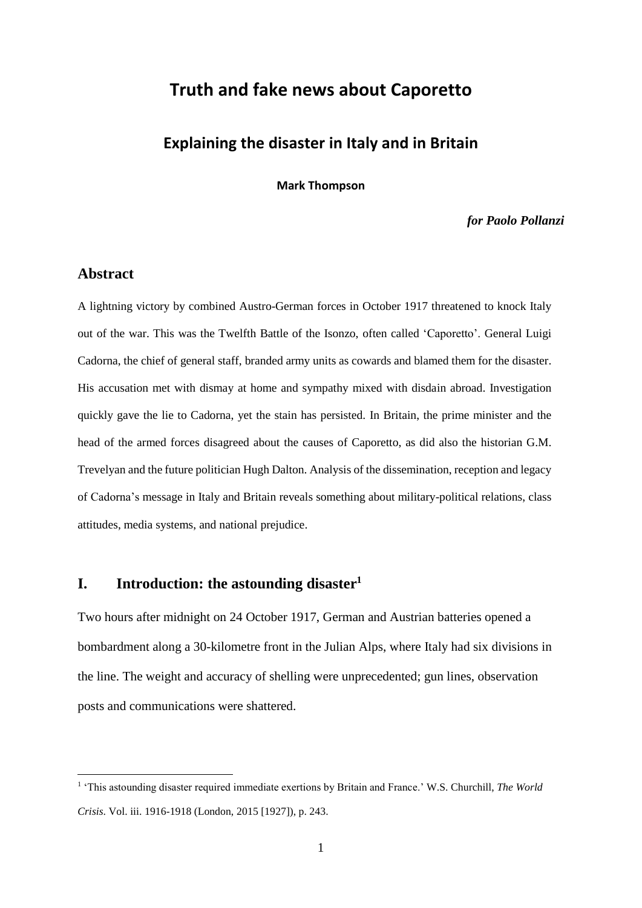# **Truth and fake news about Caporetto**

# **Explaining the disaster in Italy and in Britain**

**Mark Thompson**

*for Paolo Pollanzi*

# **Abstract**

1

A lightning victory by combined Austro-German forces in October 1917 threatened to knock Italy out of the war. This was the Twelfth Battle of the Isonzo, often called 'Caporetto'. General Luigi Cadorna, the chief of general staff, branded army units as cowards and blamed them for the disaster. His accusation met with dismay at home and sympathy mixed with disdain abroad. Investigation quickly gave the lie to Cadorna, yet the stain has persisted. In Britain, the prime minister and the head of the armed forces disagreed about the causes of Caporetto, as did also the historian G.M. Trevelyan and the future politician Hugh Dalton. Analysis of the dissemination, reception and legacy of Cadorna's message in Italy and Britain reveals something about military-political relations, class attitudes, media systems, and national prejudice.

## **I. Introduction: the astounding disaster<sup>1</sup>**

Two hours after midnight on 24 October 1917, German and Austrian batteries opened a bombardment along a 30-kilometre front in the Julian Alps, where Italy had six divisions in the line. The weight and accuracy of shelling were unprecedented; gun lines, observation posts and communications were shattered.

<sup>&</sup>lt;sup>1</sup> 'This astounding disaster required immediate exertions by Britain and France.' W.S. Churchill, *The World Crisis*. Vol. iii. 1916-1918 (London, 2015 [1927]), p. 243.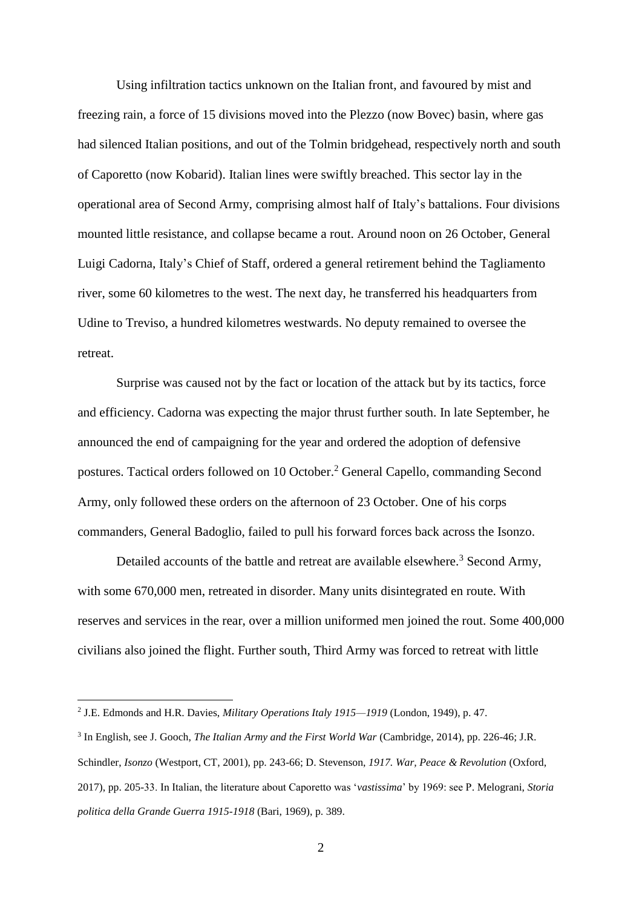Using infiltration tactics unknown on the Italian front, and favoured by mist and freezing rain, a force of 15 divisions moved into the Plezzo (now Bovec) basin, where gas had silenced Italian positions, and out of the Tolmin bridgehead, respectively north and south of Caporetto (now Kobarid). Italian lines were swiftly breached. This sector lay in the operational area of Second Army, comprising almost half of Italy's battalions. Four divisions mounted little resistance, and collapse became a rout. Around noon on 26 October, General Luigi Cadorna, Italy's Chief of Staff, ordered a general retirement behind the Tagliamento river, some 60 kilometres to the west. The next day, he transferred his headquarters from Udine to Treviso, a hundred kilometres westwards. No deputy remained to oversee the retreat.

Surprise was caused not by the fact or location of the attack but by its tactics, force and efficiency. Cadorna was expecting the major thrust further south. In late September, he announced the end of campaigning for the year and ordered the adoption of defensive postures. Tactical orders followed on 10 October.<sup>2</sup> General Capello, commanding Second Army, only followed these orders on the afternoon of 23 October. One of his corps commanders, General Badoglio, failed to pull his forward forces back across the Isonzo.

Detailed accounts of the battle and retreat are available elsewhere.<sup>3</sup> Second Army, with some 670,000 men, retreated in disorder. Many units disintegrated en route. With reserves and services in the rear, over a million uniformed men joined the rout. Some 400,000 civilians also joined the flight. Further south, Third Army was forced to retreat with little

<sup>2</sup> J.E. Edmonds and H.R. Davies, *Military Operations Italy 1915—1919* (London, 1949), p. 47.

<sup>3</sup> In English, see J. Gooch, *The Italian Army and the First World War* (Cambridge, 2014), pp. 226-46; J.R. Schindler, *Isonzo* (Westport, CT, 2001), pp. 243-66; D. Stevenson, *1917. War, Peace & Revolution* (Oxford, 2017), pp. 205-33. In Italian, the literature about Caporetto was '*vastissima*' by 1969: see P. Melograni, *Storia politica della Grande Guerra 1915-1918* (Bari, 1969), p. 389.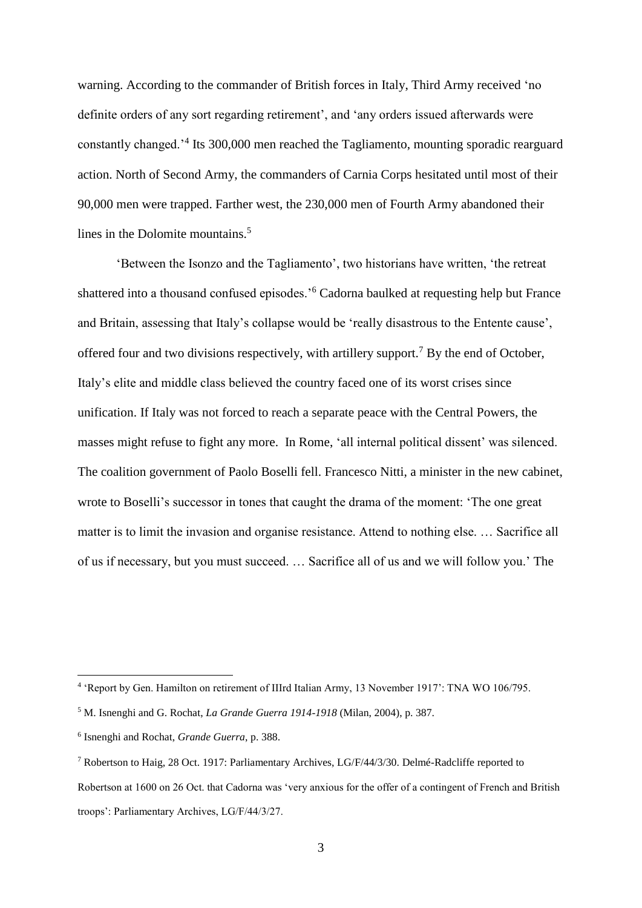warning. According to the commander of British forces in Italy, Third Army received 'no definite orders of any sort regarding retirement', and 'any orders issued afterwards were constantly changed.'<sup>4</sup> Its 300,000 men reached the Tagliamento, mounting sporadic rearguard action. North of Second Army, the commanders of Carnia Corps hesitated until most of their 90,000 men were trapped. Farther west, the 230,000 men of Fourth Army abandoned their lines in the Dolomite mountains.<sup>5</sup>

'Between the Isonzo and the Tagliamento', two historians have written, 'the retreat shattered into a thousand confused episodes.'<sup>6</sup> Cadorna baulked at requesting help but France and Britain, assessing that Italy's collapse would be 'really disastrous to the Entente cause', offered four and two divisions respectively, with artillery support.<sup>7</sup> By the end of October, Italy's elite and middle class believed the country faced one of its worst crises since unification. If Italy was not forced to reach a separate peace with the Central Powers, the masses might refuse to fight any more. In Rome, 'all internal political dissent' was silenced. The coalition government of Paolo Boselli fell. Francesco Nitti, a minister in the new cabinet, wrote to Boselli's successor in tones that caught the drama of the moment: 'The one great matter is to limit the invasion and organise resistance. Attend to nothing else. … Sacrifice all of us if necessary, but you must succeed. … Sacrifice all of us and we will follow you.' The

<sup>4</sup> 'Report by Gen. Hamilton on retirement of IIIrd Italian Army, 13 November 1917': TNA WO 106/795.

<sup>5</sup> M. Isnenghi and G. Rochat, *La Grande Guerra 1914-1918* (Milan, 2004), p. 387.

<sup>6</sup> Isnenghi and Rochat, *Grande Guerra*, p. 388.

<sup>7</sup> Robertson to Haig, 28 Oct. 1917: Parliamentary Archives, LG/F/44/3/30. Delmé-Radcliffe reported to Robertson at 1600 on 26 Oct. that Cadorna was 'very anxious for the offer of a contingent of French and British troops': Parliamentary Archives, LG/F/44/3/27.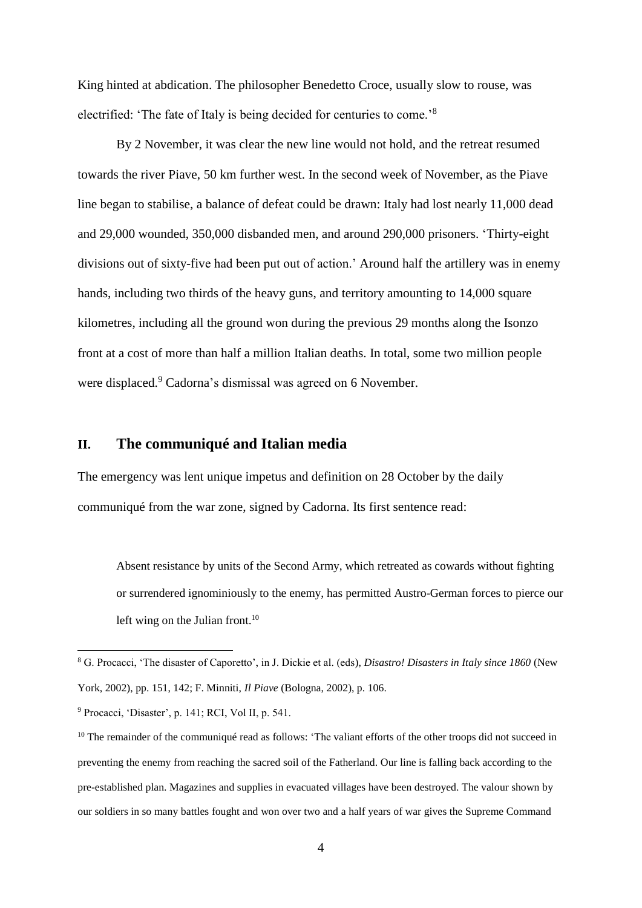King hinted at abdication. The philosopher Benedetto Croce, usually slow to rouse, was electrified: 'The fate of Italy is being decided for centuries to come.'<sup>8</sup>

By 2 November, it was clear the new line would not hold, and the retreat resumed towards the river Piave, 50 km further west. In the second week of November, as the Piave line began to stabilise, a balance of defeat could be drawn: Italy had lost nearly 11,000 dead and 29,000 wounded, 350,000 disbanded men, and around 290,000 prisoners. 'Thirty-eight divisions out of sixty-five had been put out of action.' Around half the artillery was in enemy hands, including two thirds of the heavy guns, and territory amounting to 14,000 square kilometres, including all the ground won during the previous 29 months along the Isonzo front at a cost of more than half a million Italian deaths. In total, some two million people were displaced.<sup>9</sup> Cadorna's dismissal was agreed on 6 November.

# **II. The communiqué and Italian media**

The emergency was lent unique impetus and definition on 28 October by the daily communiqué from the war zone, signed by Cadorna. Its first sentence read:

Absent resistance by units of the Second Army, which retreated as cowards without fighting or surrendered ignominiously to the enemy, has permitted Austro-German forces to pierce our left wing on the Julian front.<sup>10</sup>

<sup>8</sup> G. Procacci, 'The disaster of Caporetto', in J. Dickie et al. (eds), *Disastro! Disasters in Italy since 1860* (New York, 2002), pp. 151, 142; F. Minniti, *Il Piave* (Bologna, 2002), p. 106.

<sup>9</sup> Procacci, 'Disaster', p. 141; RCI, Vol II, p. 541.

<sup>&</sup>lt;sup>10</sup> The remainder of the communiqué read as follows: 'The valiant efforts of the other troops did not succeed in preventing the enemy from reaching the sacred soil of the Fatherland. Our line is falling back according to the pre-established plan. Magazines and supplies in evacuated villages have been destroyed. The valour shown by our soldiers in so many battles fought and won over two and a half years of war gives the Supreme Command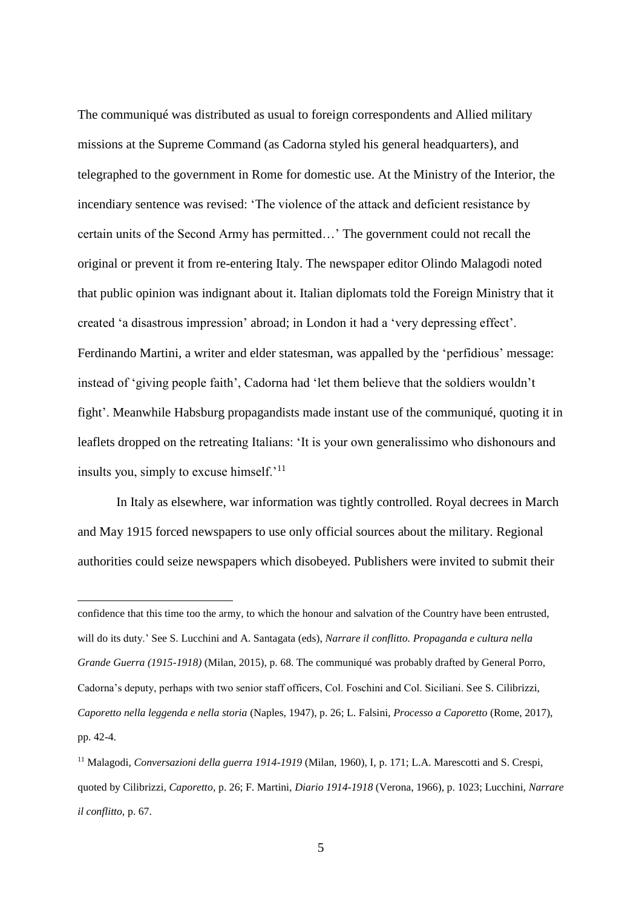The communiqué was distributed as usual to foreign correspondents and Allied military missions at the Supreme Command (as Cadorna styled his general headquarters), and telegraphed to the government in Rome for domestic use. At the Ministry of the Interior, the incendiary sentence was revised: 'The violence of the attack and deficient resistance by certain units of the Second Army has permitted…' The government could not recall the original or prevent it from re-entering Italy. The newspaper editor Olindo Malagodi noted that public opinion was indignant about it. Italian diplomats told the Foreign Ministry that it created 'a disastrous impression' abroad; in London it had a 'very depressing effect'. Ferdinando Martini, a writer and elder statesman, was appalled by the 'perfidious' message: instead of 'giving people faith', Cadorna had 'let them believe that the soldiers wouldn't fight'. Meanwhile Habsburg propagandists made instant use of the communiqué, quoting it in leaflets dropped on the retreating Italians: 'It is your own generalissimo who dishonours and insults you, simply to excuse himself.'<sup>11</sup>

In Italy as elsewhere, war information was tightly controlled. Royal decrees in March and May 1915 forced newspapers to use only official sources about the military. Regional authorities could seize newspapers which disobeyed. Publishers were invited to submit their

confidence that this time too the army, to which the honour and salvation of the Country have been entrusted, will do its duty.' See S. Lucchini and A. Santagata (eds), *Narrare il conflitto. Propaganda e cultura nella Grande Guerra (1915-1918)* (Milan, 2015), p. 68. The communiqué was probably drafted by General Porro, Cadorna's deputy, perhaps with two senior staff officers, Col. Foschini and Col. Siciliani. See S. Cilibrizzi, *Caporetto nella leggenda e nella storia* (Naples, 1947), p. 26; L. Falsini, *Processo a Caporetto* (Rome, 2017), pp. 42-4.

<sup>11</sup> Malagodi, *Conversazioni della guerra 1914-1919* (Milan, 1960), I, p. 171; L.A. Marescotti and S. Crespi, quoted by Cilibrizzi, *Caporetto*, p. 26; F. Martini, *Diario 1914-1918* (Verona, 1966), p. 1023; Lucchini, *Narrare il conflitto,* p. 67.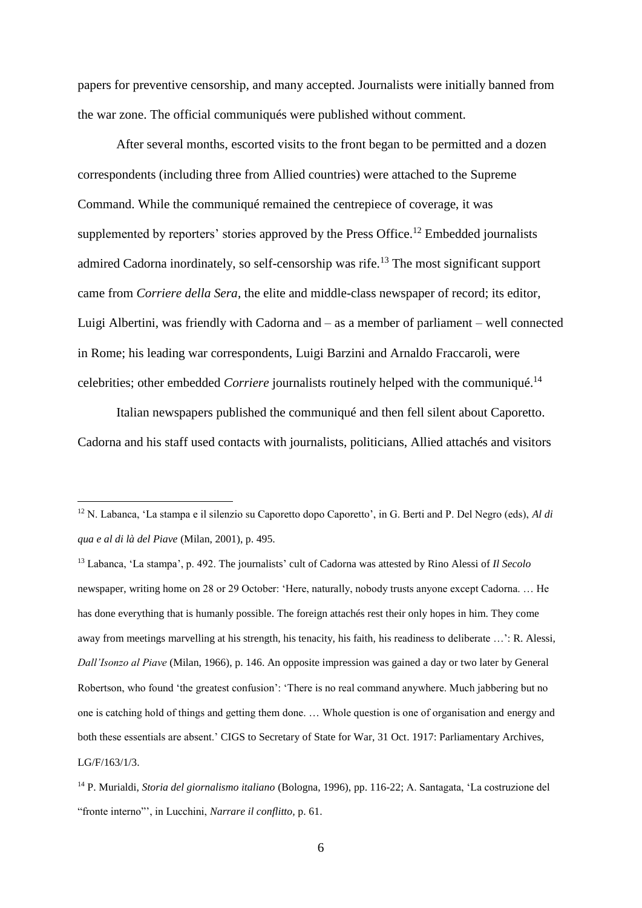papers for preventive censorship, and many accepted. Journalists were initially banned from the war zone. The official communiqués were published without comment.

After several months, escorted visits to the front began to be permitted and a dozen correspondents (including three from Allied countries) were attached to the Supreme Command. While the communiqué remained the centrepiece of coverage, it was supplemented by reporters' stories approved by the Press Office.<sup>12</sup> Embedded journalists admired Cadorna inordinately, so self-censorship was rife.<sup>13</sup> The most significant support came from *Corriere della Sera*, the elite and middle-class newspaper of record; its editor, Luigi Albertini, was friendly with Cadorna and – as a member of parliament – well connected in Rome; his leading war correspondents, Luigi Barzini and Arnaldo Fraccaroli, were celebrities; other embedded *Corriere* journalists routinely helped with the communiqué. 14

Italian newspapers published the communiqué and then fell silent about Caporetto. Cadorna and his staff used contacts with journalists, politicians, Allied attachés and visitors

<sup>12</sup> N. Labanca, 'La stampa e il silenzio su Caporetto dopo Caporetto', in G. Berti and P. Del Negro (eds), *Al di qua e al di là del Piave* (Milan, 2001), p. 495.

<sup>13</sup> Labanca, 'La stampa', p. 492. The journalists' cult of Cadorna was attested by Rino Alessi of *Il Secolo* newspaper, writing home on 28 or 29 October: 'Here, naturally, nobody trusts anyone except Cadorna. … He has done everything that is humanly possible. The foreign attachés rest their only hopes in him. They come away from meetings marvelling at his strength, his tenacity, his faith, his readiness to deliberate …': R. Alessi, *Dall'Isonzo al Piave* (Milan, 1966), p. 146. An opposite impression was gained a day or two later by General Robertson, who found 'the greatest confusion': 'There is no real command anywhere. Much jabbering but no one is catching hold of things and getting them done. … Whole question is one of organisation and energy and both these essentials are absent.' CIGS to Secretary of State for War, 31 Oct. 1917: Parliamentary Archives, LG/F/163/1/3.

<sup>14</sup> P. Murialdi, *Storia del giornalismo italiano* (Bologna, 1996), pp. 116-22; A. Santagata, 'La costruzione del "fronte interno"', in Lucchini, *Narrare il conflitto,* p. 61.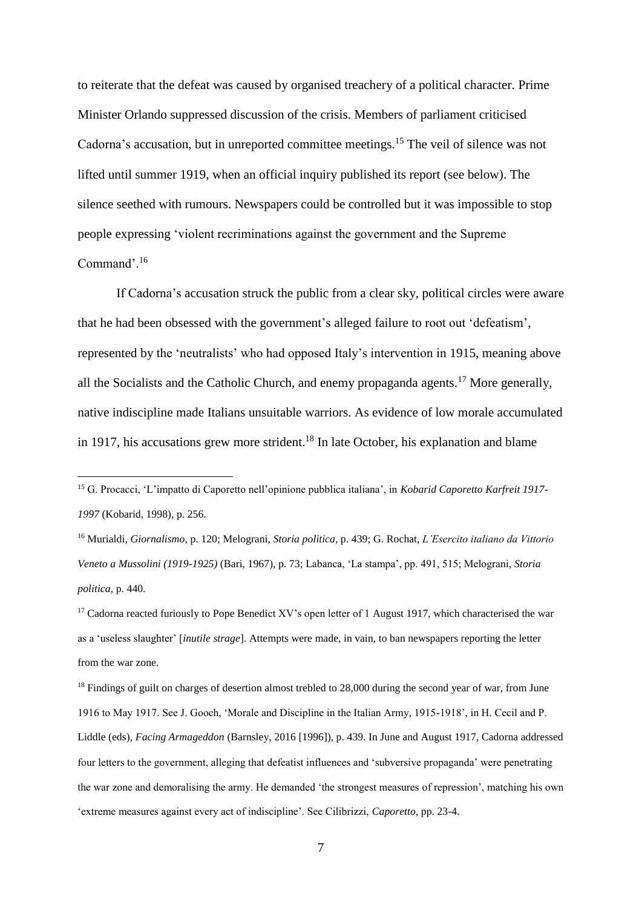to reiterate that the defeat was caused by organised treachery of a political character. Prime Minister Orlando suppressed discussion of the crisis. Members of parliament criticised Cadorna's accusation, but in unreported committee meetings.<sup>15</sup> The veil of silence was not lifted until summer 1919, when an official inquiry published its report (see below). The silence seethed with rumours. Newspapers could be controlled but it was impossible to stop people expressing 'violent recriminations against the government and the Supreme Command<sup>, 16</sup>

If Cadorna's accusation struck the public from a clear sky, political circles were aware that he had been obsessed with the government's alleged failure to root out 'defeatism', represented by the 'neutralists' who had opposed Italy's intervention in 1915, meaning above all the Socialists and the Catholic Church, and enemy propaganda agents.<sup>17</sup> More generally, native indiscipline made Italians unsuitable warriors. As evidence of low morale accumulated in 1917, his accusations grew more strident.<sup>18</sup> In late October, his explanation and blame

1

<sup>16</sup> Murialdi, *Giornalismo*, p. 120; Melograni, *Storia politica*, p. 439; G. Rochat, *L'Esercito italiano da Vittorio Veneto a Mussolini (1919-1925)* (Bari, 1967), p. 73; Labanca, 'La stampa', pp. 491, 515; Melograni, *Storia politica*, p. 440.

<sup>15</sup> G. Procacci, 'L'impatto di Caporetto nell'opinione pubblica italiana', in *Kobarid Caporetto Karfreit 1917- 1997* (Kobarid, 1998), p. 256.

<sup>&</sup>lt;sup>17</sup> Cadorna reacted furiously to Pope Benedict XV's open letter of 1 August 1917, which characterised the war as a 'useless slaughter' [*inutile strage*]. Attempts were made, in vain, to ban newspapers reporting the letter from the war zone.

<sup>&</sup>lt;sup>18</sup> Findings of guilt on charges of desertion almost trebled to 28,000 during the second year of war, from June 1916 to May 1917. See J. Gooch, 'Morale and Discipline in the Italian Army, 1915-1918', in H. Cecil and P. Liddle (eds), *Facing Armageddon* (Barnsley, 2016 [1996]), p. 439. In June and August 1917, Cadorna addressed four letters to the government, alleging that defeatist influences and 'subversive propaganda' were penetrating the war zone and demoralising the army. He demanded 'the strongest measures of repression', matching his own 'extreme measures against every act of indiscipline'. See Cilibrizzi, *Caporetto*, pp. 23-4.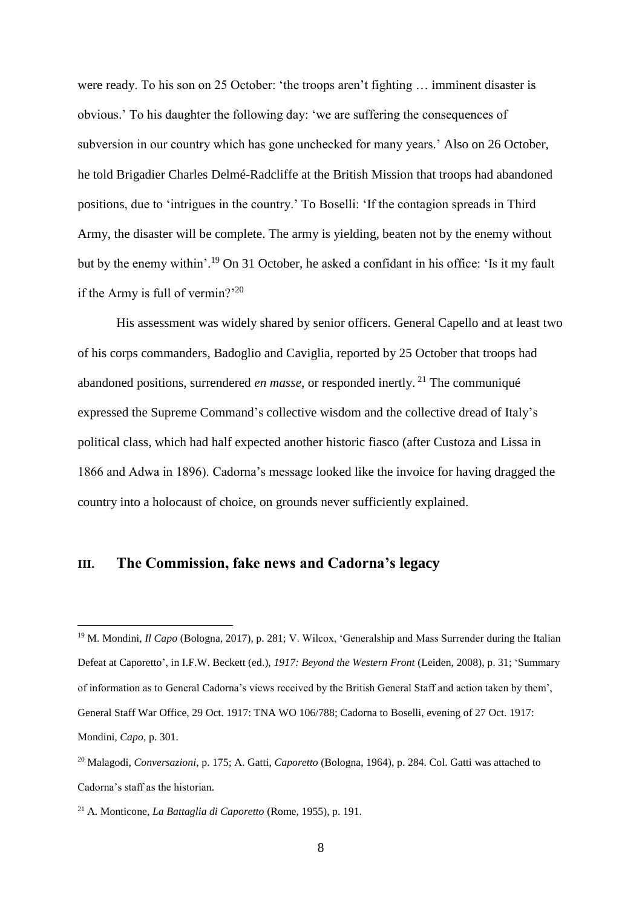were ready. To his son on 25 October: 'the troops aren't fighting … imminent disaster is obvious.' To his daughter the following day: 'we are suffering the consequences of subversion in our country which has gone unchecked for many years.' Also on 26 October, he told Brigadier Charles Delmé-Radcliffe at the British Mission that troops had abandoned positions, due to 'intrigues in the country.' To Boselli: 'If the contagion spreads in Third Army, the disaster will be complete. The army is yielding, beaten not by the enemy without but by the enemy within'.<sup>19</sup> On 31 October, he asked a confidant in his office: 'Is it my fault if the Army is full of vermin?'<sup>20</sup>

His assessment was widely shared by senior officers. General Capello and at least two of his corps commanders, Badoglio and Caviglia, reported by 25 October that troops had abandoned positions, surrendered *en masse*, or responded inertly. <sup>21</sup> The communiqué expressed the Supreme Command's collective wisdom and the collective dread of Italy's political class, which had half expected another historic fiasco (after Custoza and Lissa in 1866 and Adwa in 1896). Cadorna's message looked like the invoice for having dragged the country into a holocaust of choice, on grounds never sufficiently explained.

# **III. The Commission, fake news and Cadorna's legacy**

<sup>&</sup>lt;sup>19</sup> M. Mondini, *Il Capo* (Bologna, 2017), p. 281; V. Wilcox, 'Generalship and Mass Surrender during the Italian Defeat at Caporetto', in I.F.W. Beckett (ed.), *1917: Beyond the Western Front* (Leiden, 2008), p. 31; 'Summary of information as to General Cadorna's views received by the British General Staff and action taken by them', General Staff War Office, 29 Oct. 1917: TNA WO 106/788; Cadorna to Boselli, evening of 27 Oct. 1917: Mondini, *Capo*, p. 301.

<sup>20</sup> Malagodi, *Conversazioni*, p. 175; A. Gatti, *Caporetto* (Bologna, 1964), p. 284. Col. Gatti was attached to Cadorna's staff as the historian.

<sup>21</sup> A. Monticone, *La Battaglia di Caporetto* (Rome, 1955), p. 191.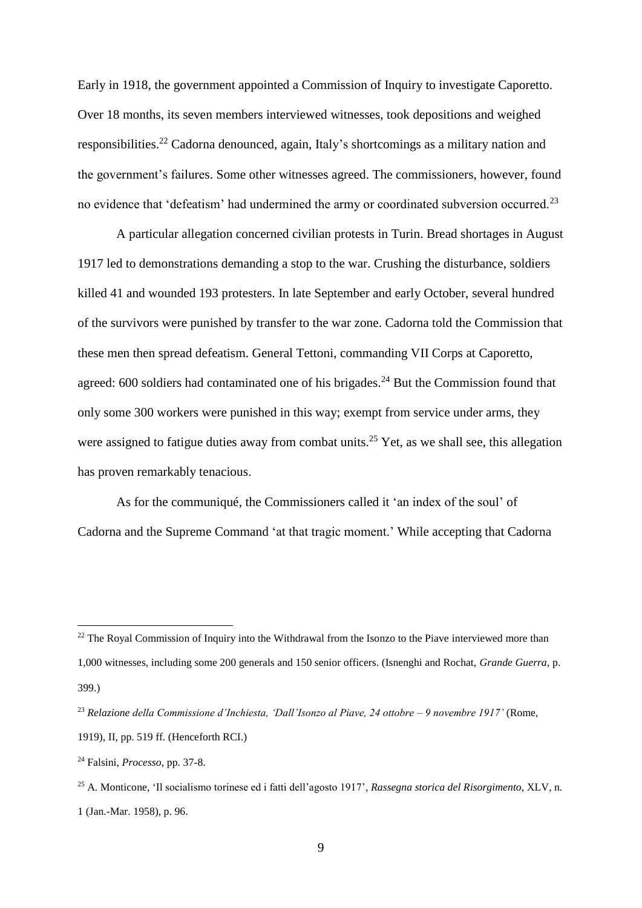Early in 1918, the government appointed a Commission of Inquiry to investigate Caporetto. Over 18 months, its seven members interviewed witnesses, took depositions and weighed responsibilities.<sup>22</sup> Cadorna denounced, again, Italy's shortcomings as a military nation and the government's failures. Some other witnesses agreed. The commissioners, however, found no evidence that 'defeatism' had undermined the army or coordinated subversion occurred.<sup>23</sup>

A particular allegation concerned civilian protests in Turin. Bread shortages in August 1917 led to demonstrations demanding a stop to the war. Crushing the disturbance, soldiers killed 41 and wounded 193 protesters. In late September and early October, several hundred of the survivors were punished by transfer to the war zone. Cadorna told the Commission that these men then spread defeatism. General Tettoni, commanding VII Corps at Caporetto, agreed:  $600$  soldiers had contaminated one of his brigades.<sup>24</sup> But the Commission found that only some 300 workers were punished in this way; exempt from service under arms, they were assigned to fatigue duties away from combat units.<sup>25</sup> Yet, as we shall see, this allegation has proven remarkably tenacious.

As for the communiqué, the Commissioners called it 'an index of the soul' of Cadorna and the Supreme Command 'at that tragic moment.' While accepting that Cadorna

 $22$  The Royal Commission of Inquiry into the Withdrawal from the Isonzo to the Piave interviewed more than 1,000 witnesses, including some 200 generals and 150 senior officers. (Isnenghi and Rochat, *Grande Guerra*, p. 399.)

<sup>23</sup> *Relazione della Commissione d'Inchiesta, 'Dall'Isonzo al Piave, 24 ottobre – 9 novembre 1917'* (Rome, 1919), II, pp. 519 ff. (Henceforth RCI.)

<sup>24</sup> Falsini, *Processo*, pp. 37-8.

<sup>25</sup> A. Monticone, 'Il socialismo torinese ed i fatti dell'agosto 1917', *Rassegna storica del Risorgimento*, XLV, n. 1 (Jan.-Mar. 1958), p. 96.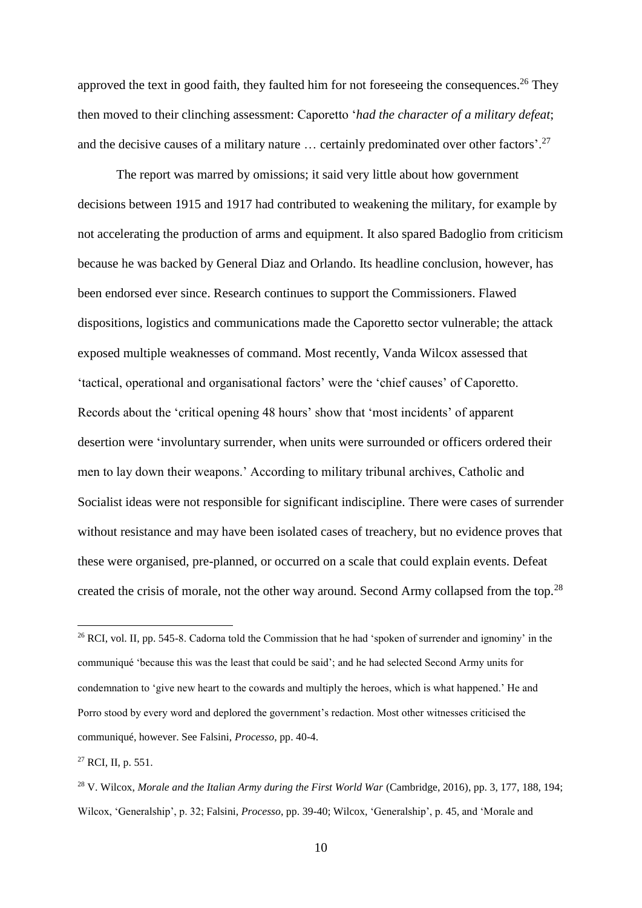approved the text in good faith, they faulted him for not foreseeing the consequences.<sup>26</sup> They then moved to their clinching assessment: Caporetto '*had the character of a military defeat*; and the decisive causes of a military nature ... certainly predominated over other factors'.<sup>27</sup>

The report was marred by omissions; it said very little about how government decisions between 1915 and 1917 had contributed to weakening the military, for example by not accelerating the production of arms and equipment. It also spared Badoglio from criticism because he was backed by General Diaz and Orlando. Its headline conclusion, however, has been endorsed ever since. Research continues to support the Commissioners. Flawed dispositions, logistics and communications made the Caporetto sector vulnerable; the attack exposed multiple weaknesses of command. Most recently, Vanda Wilcox assessed that 'tactical, operational and organisational factors' were the 'chief causes' of Caporetto. Records about the 'critical opening 48 hours' show that 'most incidents' of apparent desertion were 'involuntary surrender, when units were surrounded or officers ordered their men to lay down their weapons.' According to military tribunal archives, Catholic and Socialist ideas were not responsible for significant indiscipline. There were cases of surrender without resistance and may have been isolated cases of treachery, but no evidence proves that these were organised, pre-planned, or occurred on a scale that could explain events. Defeat created the crisis of morale, not the other way around. Second Army collapsed from the top.<sup>28</sup>

<sup>27</sup> RCI, II, p. 551.

<sup>&</sup>lt;sup>26</sup> RCI, vol. II, pp. 545-8. Cadorna told the Commission that he had 'spoken of surrender and ignominy' in the communiqué 'because this was the least that could be said'; and he had selected Second Army units for condemnation to 'give new heart to the cowards and multiply the heroes, which is what happened.' He and Porro stood by every word and deplored the government's redaction. Most other witnesses criticised the communiqué, however. See Falsini, *Processo*, pp. 40-4.

<sup>28</sup> V. Wilcox, *Morale and the Italian Army during the First World War* (Cambridge, 2016), pp. 3, 177, 188, 194; Wilcox, 'Generalship', p. 32; Falsini, *Processo*, pp. 39-40; Wilcox, 'Generalship', p. 45, and 'Morale and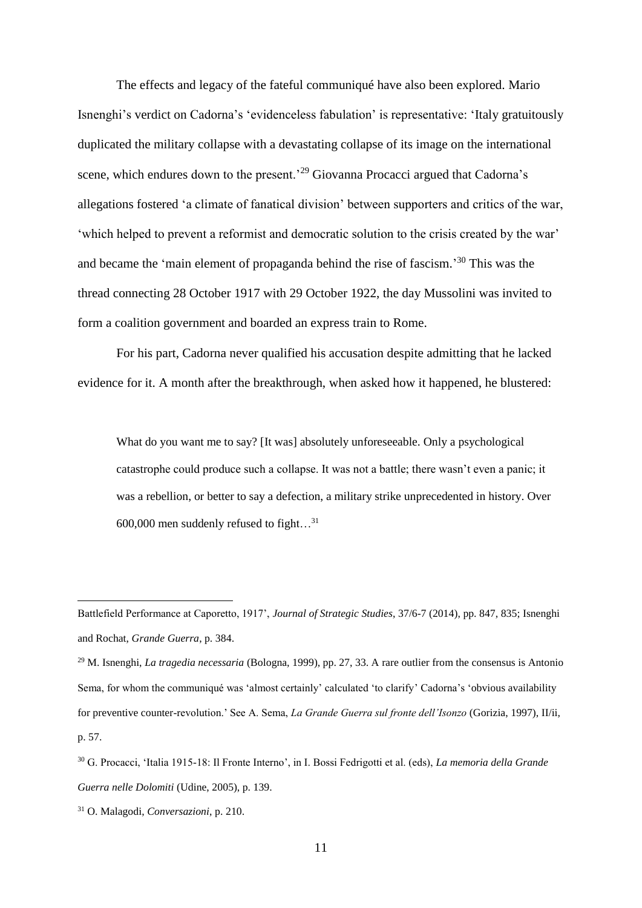The effects and legacy of the fateful communiqué have also been explored. Mario Isnenghi's verdict on Cadorna's 'evidenceless fabulation' is representative: 'Italy gratuitously duplicated the military collapse with a devastating collapse of its image on the international scene, which endures down to the present.<sup>29</sup> Giovanna Procacci argued that Cadorna's allegations fostered 'a climate of fanatical division' between supporters and critics of the war, 'which helped to prevent a reformist and democratic solution to the crisis created by the war' and became the 'main element of propaganda behind the rise of fascism.'<sup>30</sup> This was the thread connecting 28 October 1917 with 29 October 1922, the day Mussolini was invited to form a coalition government and boarded an express train to Rome.

For his part, Cadorna never qualified his accusation despite admitting that he lacked evidence for it. A month after the breakthrough, when asked how it happened, he blustered:

What do you want me to say? [It was] absolutely unforeseeable. Only a psychological catastrophe could produce such a collapse. It was not a battle; there wasn't even a panic; it was a rebellion, or better to say a defection, a military strike unprecedented in history. Over 600,000 men suddenly refused to fight…<sup>31</sup>

Battlefield Performance at Caporetto, 1917', *Journal of Strategic Studies*, 37/6-7 (2014), pp. 847, 835; Isnenghi and Rochat, *Grande Guerra*, p. 384.

<sup>29</sup> M. Isnenghi, *La tragedia necessaria* (Bologna, 1999), pp. 27, 33. A rare outlier from the consensus is Antonio Sema, for whom the communiqué was 'almost certainly' calculated 'to clarify' Cadorna's 'obvious availability for preventive counter-revolution.' See A. Sema, *La Grande Guerra sul fronte dell'Isonzo* (Gorizia, 1997), II/ii, p. 57.

<sup>30</sup> G. Procacci, 'Italia 1915-18: Il Fronte Interno', in I. Bossi Fedrigotti et al. (eds), *La memoria della Grande Guerra nelle Dolomiti* (Udine, 2005), p. 139.

<sup>31</sup> O. Malagodi, *Conversazioni*, p. 210.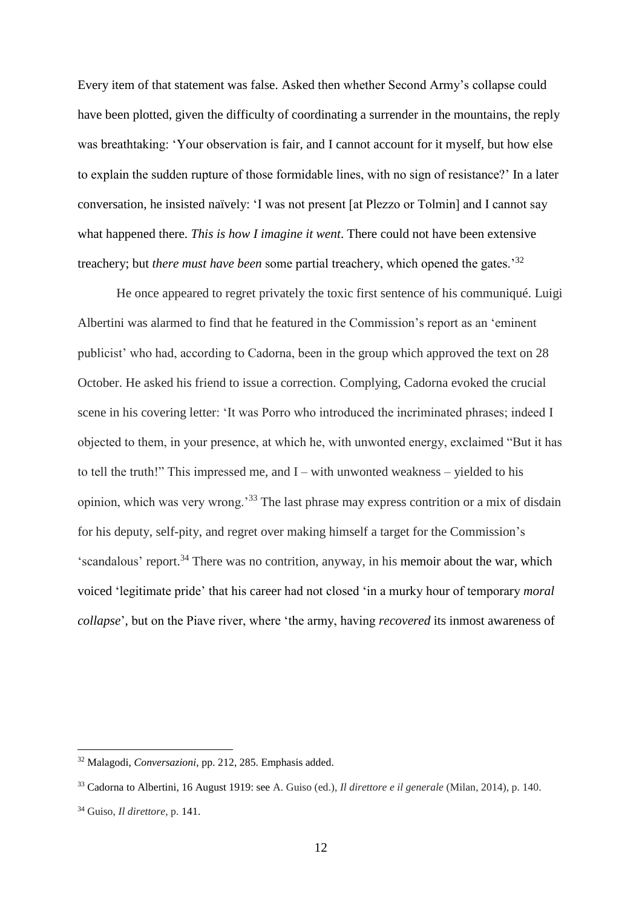Every item of that statement was false. Asked then whether Second Army's collapse could have been plotted, given the difficulty of coordinating a surrender in the mountains, the reply was breathtaking: 'Your observation is fair, and I cannot account for it myself, but how else to explain the sudden rupture of those formidable lines, with no sign of resistance?' In a later conversation, he insisted naïvely: 'I was not present [at Plezzo or Tolmin] and I cannot say what happened there. *This is how I imagine it went*. There could not have been extensive treachery; but *there must have been* some partial treachery, which opened the gates.'<sup>32</sup>

He once appeared to regret privately the toxic first sentence of his communiqué. Luigi Albertini was alarmed to find that he featured in the Commission's report as an 'eminent publicist' who had, according to Cadorna, been in the group which approved the text on 28 October. He asked his friend to issue a correction. Complying, Cadorna evoked the crucial scene in his covering letter: 'It was Porro who introduced the incriminated phrases; indeed I objected to them, in your presence, at which he, with unwonted energy, exclaimed "But it has to tell the truth!" This impressed me, and I – with unwonted weakness – yielded to his opinion, which was very wrong.'<sup>33</sup> The last phrase may express contrition or a mix of disdain for his deputy, self-pity, and regret over making himself a target for the Commission's 'scandalous' report. <sup>34</sup> There was no contrition, anyway, in his memoir about the war, which voiced 'legitimate pride' that his career had not closed 'in a murky hour of temporary *moral collapse*', but on the Piave river, where 'the army, having *recovered* its inmost awareness of

<sup>32</sup> Malagodi, *Conversazioni*, pp. 212, 285. Emphasis added.

<sup>33</sup> Cadorna to Albertini, 16 August 1919: see A. Guiso (ed.), *Il direttore e il generale* (Milan, 2014), p. 140.

<sup>34</sup> Guiso, *Il direttore*, p. 141.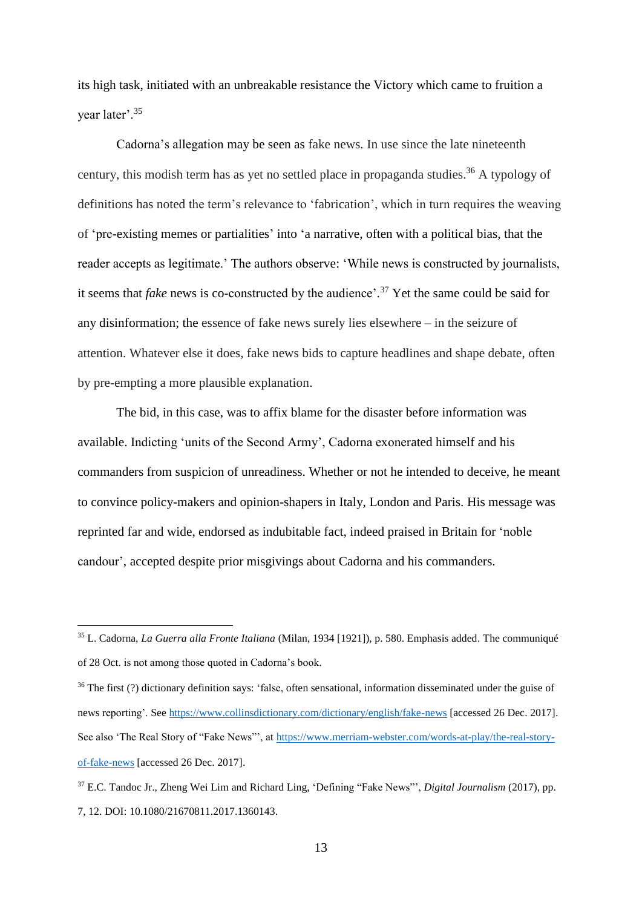its high task, initiated with an unbreakable resistance the Victory which came to fruition a year later'.<sup>35</sup>

Cadorna's allegation may be seen as fake news*.* In use since the late nineteenth century, this modish term has as yet no settled place in propaganda studies. <sup>36</sup> A typology of definitions has noted the term's relevance to 'fabrication', which in turn requires the weaving of 'pre-existing memes or partialities' into 'a narrative, often with a political bias, that the reader accepts as legitimate.' The authors observe: 'While news is constructed by journalists, it seems that *fake* news is co-constructed by the audience'. <sup>37</sup> Yet the same could be said for any disinformation; the essence of fake news surely lies elsewhere – in the seizure of attention. Whatever else it does, fake news bids to capture headlines and shape debate, often by pre-empting a more plausible explanation.

The bid, in this case, was to affix blame for the disaster before information was available. Indicting 'units of the Second Army', Cadorna exonerated himself and his commanders from suspicion of unreadiness. Whether or not he intended to deceive, he meant to convince policy-makers and opinion-shapers in Italy, London and Paris. His message was reprinted far and wide, endorsed as indubitable fact, indeed praised in Britain for 'noble candour', accepted despite prior misgivings about Cadorna and his commanders.

<sup>35</sup> L. Cadorna, *La Guerra alla Fronte Italiana* (Milan, 1934 [1921]), p. 580. Emphasis added. The communiqué of 28 Oct. is not among those quoted in Cadorna's book.

<sup>&</sup>lt;sup>36</sup> The first (?) dictionary definition says: 'false, often sensational, information disseminated under the guise of news reporting'. See<https://www.collinsdictionary.com/dictionary/english/fake-news> [accessed 26 Dec. 2017]. See also 'The Real Story of "Fake News"', at [https://www.merriam-webster.com/words-at-play/the-real-story](https://www.merriam-webster.com/words-at-play/the-real-story-of-fake-news)[of-fake-news](https://www.merriam-webster.com/words-at-play/the-real-story-of-fake-news) [accessed 26 Dec. 2017].

<sup>37</sup> E.C. Tandoc Jr., Zheng Wei Lim and Richard Ling, 'Defining "Fake News"', *Digital Journalism* (2017), pp. 7, 12. DOI: 10.1080/21670811.2017.1360143.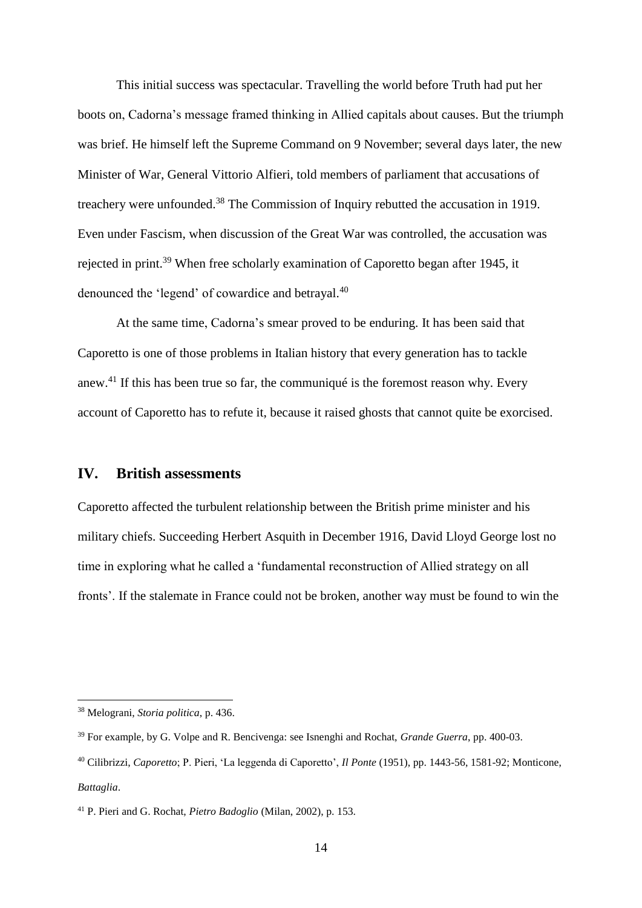This initial success was spectacular. Travelling the world before Truth had put her boots on, Cadorna's message framed thinking in Allied capitals about causes. But the triumph was brief. He himself left the Supreme Command on 9 November; several days later, the new Minister of War, General Vittorio Alfieri, told members of parliament that accusations of treachery were unfounded.<sup>38</sup> The Commission of Inquiry rebutted the accusation in 1919. Even under Fascism, when discussion of the Great War was controlled, the accusation was rejected in print.<sup>39</sup> When free scholarly examination of Caporetto began after 1945, it denounced the 'legend' of cowardice and betrayal.<sup>40</sup>

At the same time, Cadorna's smear proved to be enduring. It has been said that Caporetto is one of those problems in Italian history that every generation has to tackle anew.<sup>41</sup> If this has been true so far, the communiqué is the foremost reason why. Every account of Caporetto has to refute it, because it raised ghosts that cannot quite be exorcised.

#### **IV. British assessments**

Caporetto affected the turbulent relationship between the British prime minister and his military chiefs. Succeeding Herbert Asquith in December 1916, David Lloyd George lost no time in exploring what he called a 'fundamental reconstruction of Allied strategy on all fronts'. If the stalemate in France could not be broken, another way must be found to win the

<sup>38</sup> Melograni, *Storia politica*, p. 436.

<sup>39</sup> For example, by G. Volpe and R. Bencivenga: see Isnenghi and Rochat, *Grande Guerra*, pp. 400-03.

<sup>40</sup> Cilibrizzi, *Caporetto*; P. Pieri, 'La leggenda di Caporetto', *Il Ponte* (1951), pp. 1443-56, 1581-92; Monticone, *Battaglia*.

<sup>41</sup> P. Pieri and G. Rochat, *Pietro Badoglio* (Milan, 2002), p. 153.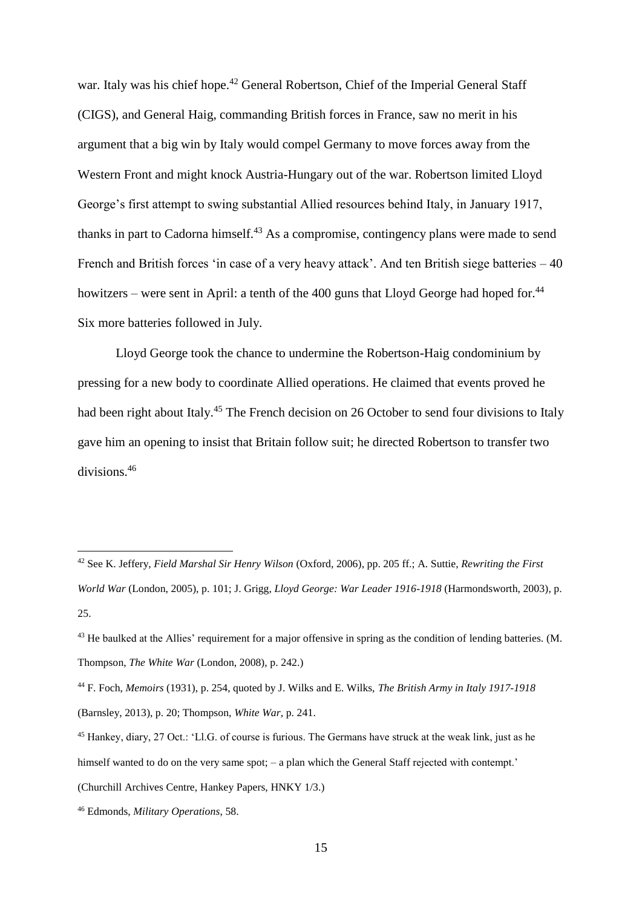war. Italy was his chief hope.<sup>42</sup> General Robertson, Chief of the Imperial General Staff (CIGS), and General Haig, commanding British forces in France, saw no merit in his argument that a big win by Italy would compel Germany to move forces away from the Western Front and might knock Austria-Hungary out of the war. Robertson limited Lloyd George's first attempt to swing substantial Allied resources behind Italy, in January 1917, thanks in part to Cadorna himself.<sup>43</sup> As a compromise, contingency plans were made to send French and British forces 'in case of a very heavy attack'. And ten British siege batteries – 40 howitzers – were sent in April: a tenth of the 400 guns that Lloyd George had hoped for.<sup>44</sup> Six more batteries followed in July.

Lloyd George took the chance to undermine the Robertson-Haig condominium by pressing for a new body to coordinate Allied operations. He claimed that events proved he had been right about Italy.<sup>45</sup> The French decision on 26 October to send four divisions to Italy gave him an opening to insist that Britain follow suit; he directed Robertson to transfer two divisions.<sup>46</sup>

<sup>42</sup> See K. Jeffery, *Field Marshal Sir Henry Wilson* (Oxford, 2006), pp. 205 ff.; A. Suttie, *Rewriting the First World War* (London, 2005), p. 101; J. Grigg, *Lloyd George: War Leader 1916-1918* (Harmondsworth, 2003), p. 25.

<sup>&</sup>lt;sup>43</sup> He baulked at the Allies' requirement for a major offensive in spring as the condition of lending batteries. (M. Thompson, *The White War* (London, 2008), p. 242.)

<sup>44</sup> F. Foch, *Memoirs* (1931), p. 254, quoted by J. Wilks and E. Wilks, *The British Army in Italy 1917-1918* (Barnsley, 2013), p. 20; Thompson, *White War*, p. 241.

<sup>45</sup> Hankey, diary, 27 Oct.: 'Ll.G. of course is furious. The Germans have struck at the weak link, just as he himself wanted to do on the very same spot; – a plan which the General Staff rejected with contempt.'

<sup>(</sup>Churchill Archives Centre, Hankey Papers, HNKY 1/3.)

<sup>46</sup> Edmonds, *Military Operations*, 58.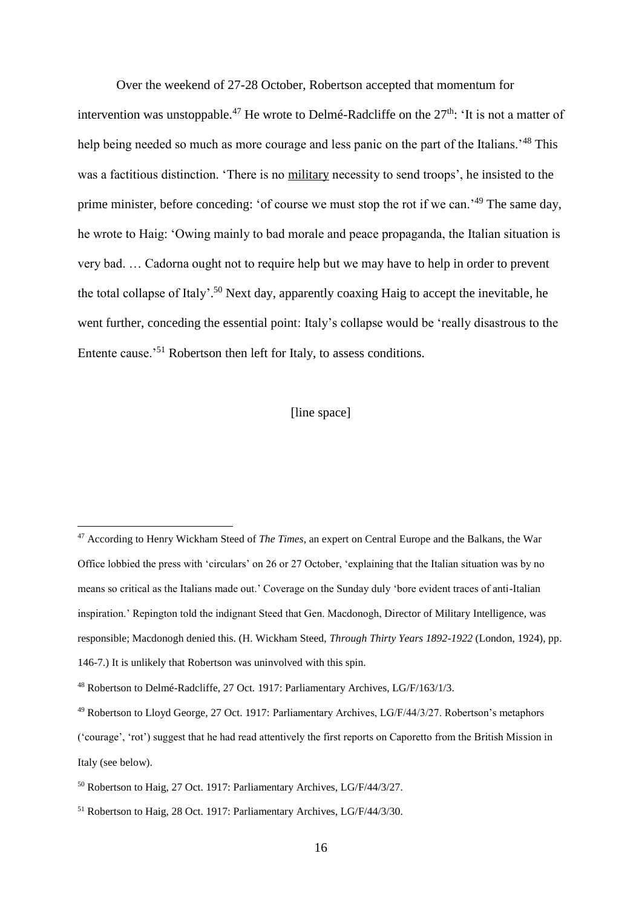Over the weekend of 27-28 October, Robertson accepted that momentum for intervention was unstoppable.<sup>47</sup> He wrote to Delmé-Radcliffe on the  $27<sup>th</sup>$ : 'It is not a matter of help being needed so much as more courage and less panic on the part of the Italians.<sup>48</sup> This was a factitious distinction. 'There is no military necessity to send troops', he insisted to the prime minister, before conceding: 'of course we must stop the rot if we can.'<sup>49</sup> The same day, he wrote to Haig: 'Owing mainly to bad morale and peace propaganda, the Italian situation is very bad. … Cadorna ought not to require help but we may have to help in order to prevent the total collapse of Italy'. <sup>50</sup> Next day, apparently coaxing Haig to accept the inevitable, he went further, conceding the essential point: Italy's collapse would be 'really disastrous to the Entente cause.'<sup>51</sup> Robertson then left for Italy, to assess conditions.

#### [line space]

<sup>47</sup> According to Henry Wickham Steed of *The Times*, an expert on Central Europe and the Balkans, the War Office lobbied the press with 'circulars' on 26 or 27 October, 'explaining that the Italian situation was by no means so critical as the Italians made out.' Coverage on the Sunday duly 'bore evident traces of anti-Italian inspiration.' Repington told the indignant Steed that Gen. Macdonogh, Director of Military Intelligence, was responsible; Macdonogh denied this. (H. Wickham Steed, *Through Thirty Years 1892-1922* (London, 1924), pp. 146-7.) It is unlikely that Robertson was uninvolved with this spin.

<sup>48</sup> Robertson to Delmé-Radcliffe, 27 Oct. 1917: Parliamentary Archives, LG/F/163/1/3.

<sup>49</sup> Robertson to Lloyd George, 27 Oct. 1917: Parliamentary Archives, LG/F/44/3/27. Robertson's metaphors ('courage', 'rot') suggest that he had read attentively the first reports on Caporetto from the British Mission in Italy (see below).

<sup>50</sup> Robertson to Haig, 27 Oct. 1917: Parliamentary Archives, LG/F/44/3/27.

<sup>51</sup> Robertson to Haig, 28 Oct. 1917: Parliamentary Archives, LG/F/44/3/30.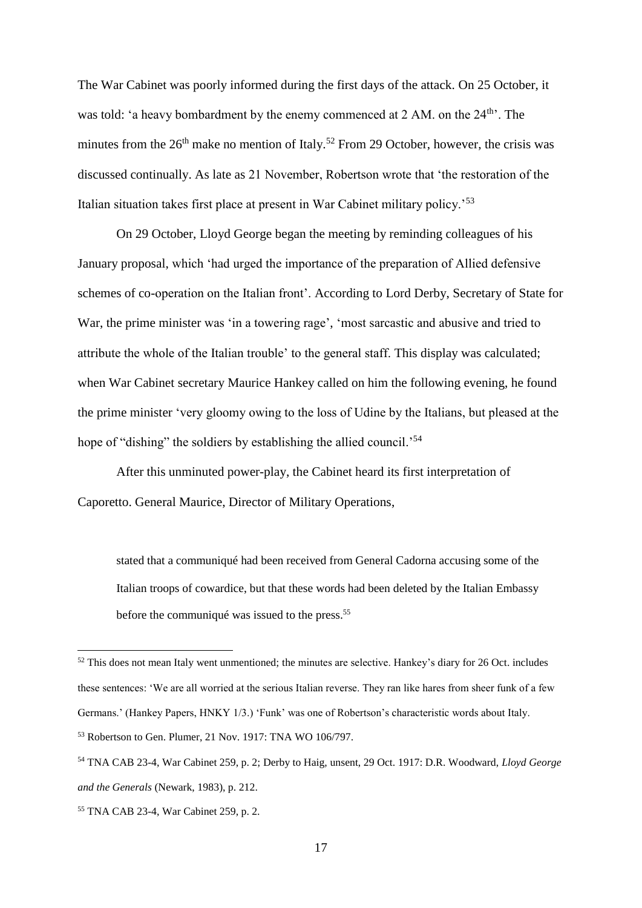The War Cabinet was poorly informed during the first days of the attack. On 25 October, it was told: 'a heavy bombardment by the enemy commenced at  $2 \text{ AM}$ . on the  $24^{\text{th}}$ . The minutes from the  $26<sup>th</sup>$  make no mention of Italy.<sup>52</sup> From 29 October, however, the crisis was discussed continually. As late as 21 November, Robertson wrote that 'the restoration of the Italian situation takes first place at present in War Cabinet military policy.'<sup>53</sup>

On 29 October, Lloyd George began the meeting by reminding colleagues of his January proposal, which 'had urged the importance of the preparation of Allied defensive schemes of co-operation on the Italian front'. According to Lord Derby, Secretary of State for War, the prime minister was 'in a towering rage', 'most sarcastic and abusive and tried to attribute the whole of the Italian trouble' to the general staff. This display was calculated; when War Cabinet secretary Maurice Hankey called on him the following evening, he found the prime minister 'very gloomy owing to the loss of Udine by the Italians, but pleased at the hope of "dishing" the soldiers by establishing the allied council.<sup>54</sup>

After this unminuted power-play, the Cabinet heard its first interpretation of Caporetto. General Maurice, Director of Military Operations,

stated that a communiqué had been received from General Cadorna accusing some of the Italian troops of cowardice, but that these words had been deleted by the Italian Embassy before the communiqué was issued to the press.<sup>55</sup>

<sup>&</sup>lt;sup>52</sup> This does not mean Italy went unmentioned; the minutes are selective. Hankey's diary for 26 Oct. includes these sentences: 'We are all worried at the serious Italian reverse. They ran like hares from sheer funk of a few Germans.' (Hankey Papers, HNKY 1/3.) 'Funk' was one of Robertson's characteristic words about Italy. <sup>53</sup> Robertson to Gen. Plumer, 21 Nov. 1917: TNA WO 106/797.

<sup>54</sup> TNA CAB 23-4, War Cabinet 259, p. 2; Derby to Haig, unsent, 29 Oct. 1917: D.R. Woodward, *Lloyd George and the Generals* (Newark, 1983), p. 212.

<sup>55</sup> TNA CAB 23-4, War Cabinet 259, p. 2.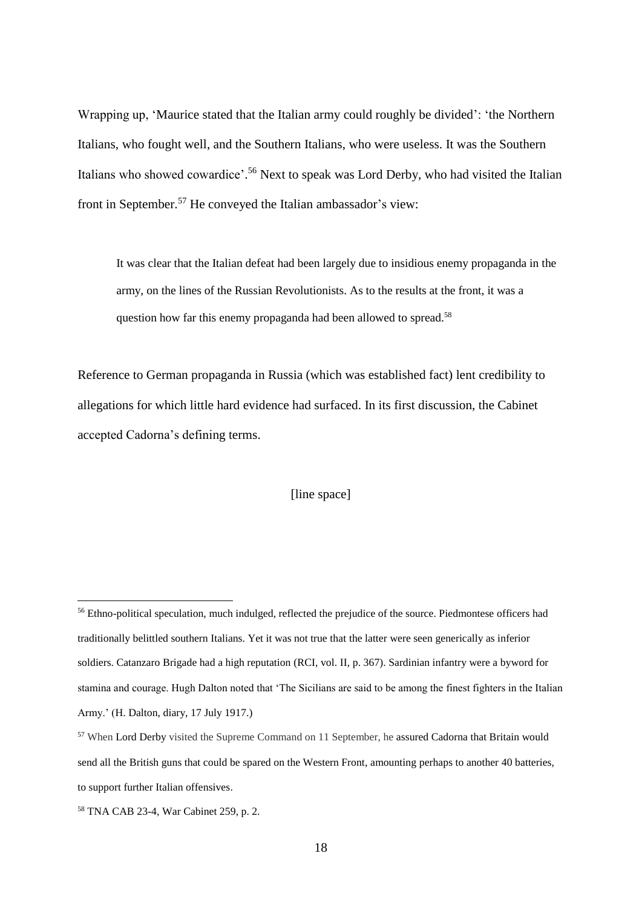Wrapping up, 'Maurice stated that the Italian army could roughly be divided': 'the Northern Italians, who fought well, and the Southern Italians, who were useless. It was the Southern Italians who showed cowardice'.<sup>56</sup> Next to speak was Lord Derby, who had visited the Italian front in September.<sup>57</sup> He conveyed the Italian ambassador's view:

It was clear that the Italian defeat had been largely due to insidious enemy propaganda in the army, on the lines of the Russian Revolutionists. As to the results at the front, it was a question how far this enemy propaganda had been allowed to spread.<sup>58</sup>

Reference to German propaganda in Russia (which was established fact) lent credibility to allegations for which little hard evidence had surfaced. In its first discussion, the Cabinet accepted Cadorna's defining terms.

[line space]

<sup>&</sup>lt;sup>56</sup> Ethno-political speculation, much indulged, reflected the prejudice of the source. Piedmontese officers had traditionally belittled southern Italians. Yet it was not true that the latter were seen generically as inferior soldiers. Catanzaro Brigade had a high reputation (RCI, vol. II, p. 367). Sardinian infantry were a byword for stamina and courage. Hugh Dalton noted that 'The Sicilians are said to be among the finest fighters in the Italian Army.' (H. Dalton, diary, 17 July 1917.)

<sup>&</sup>lt;sup>57</sup> When Lord Derby visited the Supreme Command on 11 September, he assured Cadorna that Britain would send all the British guns that could be spared on the Western Front, amounting perhaps to another 40 batteries, to support further Italian offensives.

<sup>58</sup> TNA CAB 23-4, War Cabinet 259, p. 2.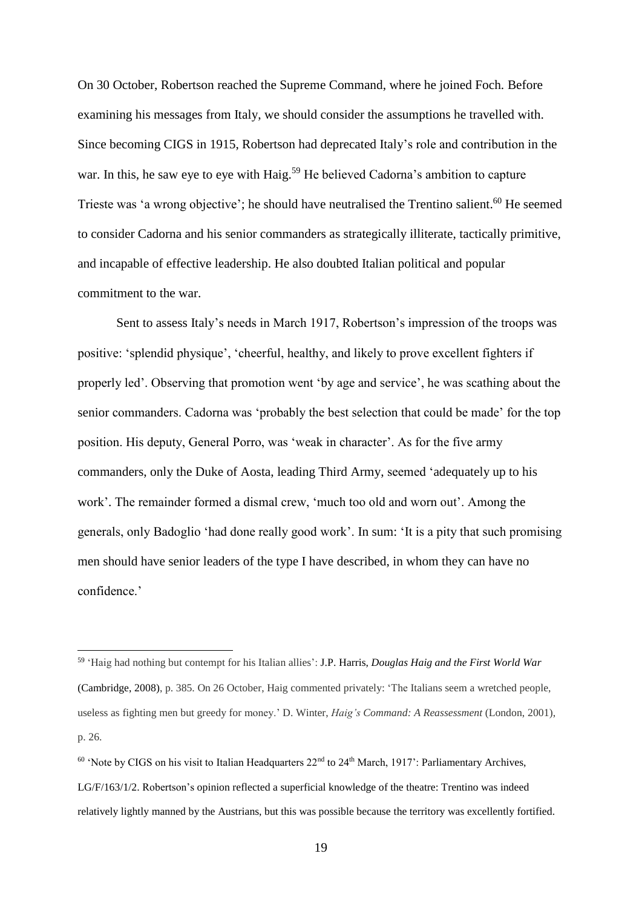On 30 October, Robertson reached the Supreme Command, where he joined Foch. Before examining his messages from Italy, we should consider the assumptions he travelled with. Since becoming CIGS in 1915, Robertson had deprecated Italy's role and contribution in the war. In this, he saw eye to eye with Haig.<sup>59</sup> He believed Cadorna's ambition to capture Trieste was 'a wrong objective'; he should have neutralised the Trentino salient.<sup>60</sup> He seemed to consider Cadorna and his senior commanders as strategically illiterate, tactically primitive, and incapable of effective leadership. He also doubted Italian political and popular commitment to the war.

Sent to assess Italy's needs in March 1917, Robertson's impression of the troops was positive: 'splendid physique', 'cheerful, healthy, and likely to prove excellent fighters if properly led'. Observing that promotion went 'by age and service', he was scathing about the senior commanders. Cadorna was 'probably the best selection that could be made' for the top position. His deputy, General Porro, was 'weak in character'. As for the five army commanders, only the Duke of Aosta, leading Third Army, seemed 'adequately up to his work'. The remainder formed a dismal crew, 'much too old and worn out'. Among the generals, only Badoglio 'had done really good work'. In sum: 'It is a pity that such promising men should have senior leaders of the type I have described, in whom they can have no confidence.'

<sup>59</sup> 'Haig had nothing but contempt for his Italian allies': J.P. Harris, *Douglas Haig and the First World War* (Cambridge, 2008), p. 385. On 26 October, Haig commented privately: 'The Italians seem a wretched people, useless as fighting men but greedy for money.' D. Winter, *Haig's Command: A Reassessment* (London, 2001), p. 26.

 $60$  'Note by CIGS on his visit to Italian Headquarters  $22<sup>nd</sup>$  to  $24<sup>th</sup>$  March, 1917': Parliamentary Archives, LG/F/163/1/2. Robertson's opinion reflected a superficial knowledge of the theatre: Trentino was indeed relatively lightly manned by the Austrians, but this was possible because the territory was excellently fortified.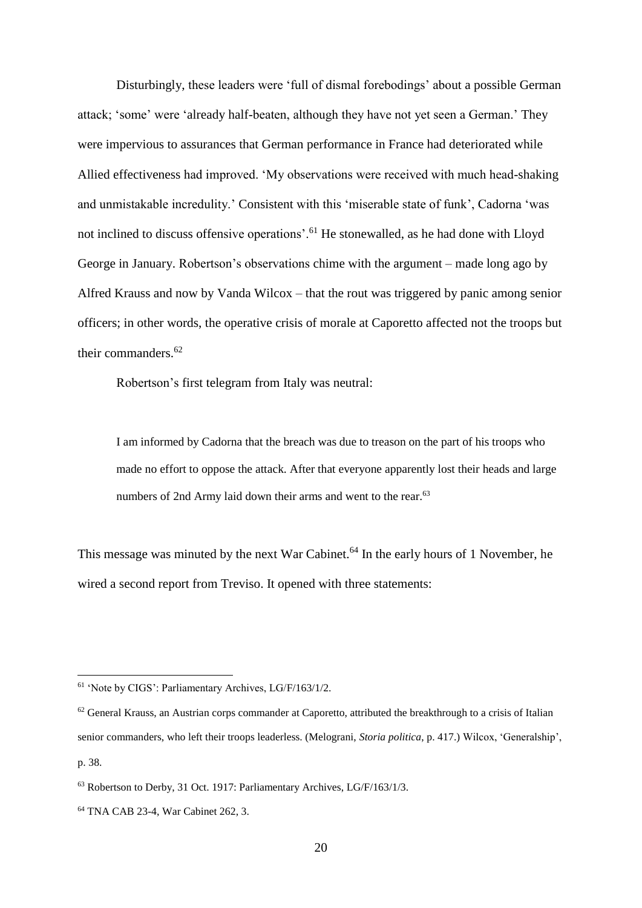Disturbingly, these leaders were 'full of dismal forebodings' about a possible German attack; 'some' were 'already half-beaten, although they have not yet seen a German.' They were impervious to assurances that German performance in France had deteriorated while Allied effectiveness had improved. 'My observations were received with much head-shaking and unmistakable incredulity.' Consistent with this 'miserable state of funk', Cadorna 'was not inclined to discuss offensive operations'.<sup>61</sup> He stonewalled, as he had done with Lloyd George in January. Robertson's observations chime with the argument – made long ago by Alfred Krauss and now by Vanda Wilcox – that the rout was triggered by panic among senior officers; in other words, the operative crisis of morale at Caporetto affected not the troops but their commanders.<sup>62</sup>

Robertson's first telegram from Italy was neutral:

I am informed by Cadorna that the breach was due to treason on the part of his troops who made no effort to oppose the attack. After that everyone apparently lost their heads and large numbers of 2nd Army laid down their arms and went to the rear.<sup>63</sup>

This message was minuted by the next War Cabinet.<sup>64</sup> In the early hours of 1 November, he wired a second report from Treviso. It opened with three statements:

<sup>61</sup> 'Note by CIGS': Parliamentary Archives, LG/F/163/1/2.

 $62$  General Krauss, an Austrian corps commander at Caporetto, attributed the breakthrough to a crisis of Italian senior commanders, who left their troops leaderless. (Melograni, *Storia politica*, p. 417.) Wilcox, 'Generalship', p. 38.

<sup>&</sup>lt;sup>63</sup> Robertson to Derby, 31 Oct. 1917: Parliamentary Archives, LG/F/163/1/3.

<sup>64</sup> TNA CAB 23-4, War Cabinet 262, 3.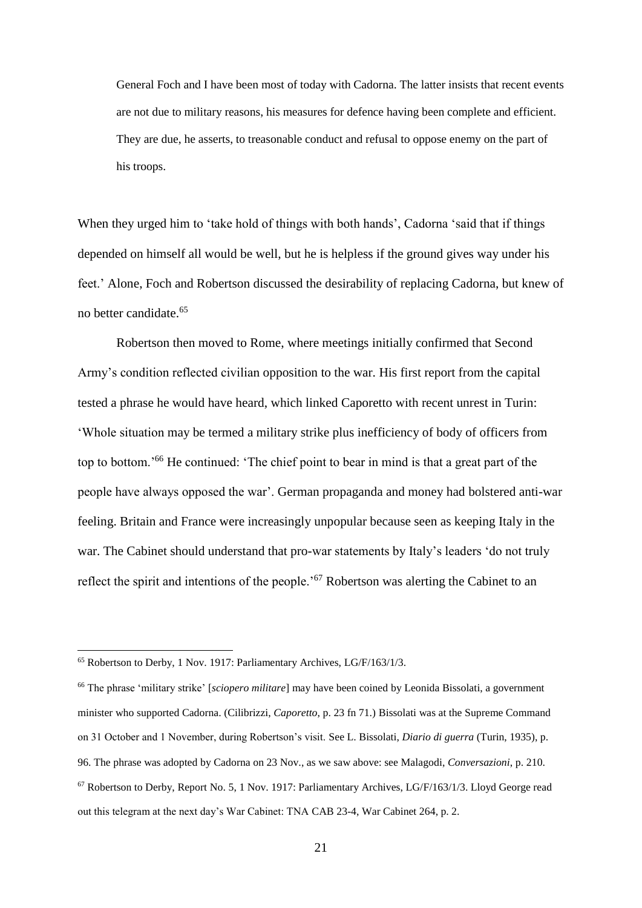General Foch and I have been most of today with Cadorna. The latter insists that recent events are not due to military reasons, his measures for defence having been complete and efficient. They are due, he asserts, to treasonable conduct and refusal to oppose enemy on the part of his troops.

When they urged him to 'take hold of things with both hands', Cadorna 'said that if things depended on himself all would be well, but he is helpless if the ground gives way under his feet.' Alone, Foch and Robertson discussed the desirability of replacing Cadorna, but knew of no better candidate.<sup>65</sup>

Robertson then moved to Rome, where meetings initially confirmed that Second Army's condition reflected civilian opposition to the war. His first report from the capital tested a phrase he would have heard, which linked Caporetto with recent unrest in Turin: 'Whole situation may be termed a military strike plus inefficiency of body of officers from top to bottom.'<sup>66</sup> He continued: 'The chief point to bear in mind is that a great part of the people have always opposed the war'. German propaganda and money had bolstered anti-war feeling. Britain and France were increasingly unpopular because seen as keeping Italy in the war. The Cabinet should understand that pro-war statements by Italy's leaders 'do not truly reflect the spirit and intentions of the people.<sup>'67</sup> Robertson was alerting the Cabinet to an

<sup>&</sup>lt;sup>65</sup> Robertson to Derby, 1 Nov. 1917: Parliamentary Archives, LG/F/163/1/3.

<sup>66</sup> The phrase 'military strike' [*sciopero militare*] may have been coined by Leonida Bissolati, a government minister who supported Cadorna. (Cilibrizzi, *Caporetto*, p. 23 fn 71.) Bissolati was at the Supreme Command on 31 October and 1 November, during Robertson's visit. See L. Bissolati, *Diario di guerra* (Turin, 1935), p. 96. The phrase was adopted by Cadorna on 23 Nov., as we saw above: see Malagodi, *Conversazioni*, p. 210. <sup>67</sup> Robertson to Derby, Report No. 5, 1 Nov. 1917: Parliamentary Archives, LG/F/163/1/3. Lloyd George read out this telegram at the next day's War Cabinet: TNA CAB 23-4, War Cabinet 264, p. 2.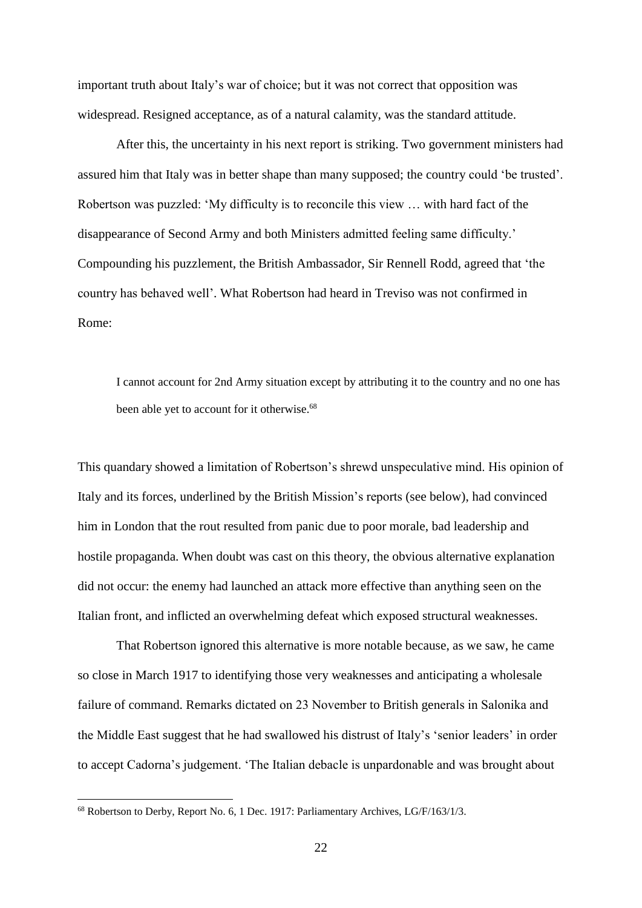important truth about Italy's war of choice; but it was not correct that opposition was widespread. Resigned acceptance, as of a natural calamity, was the standard attitude.

After this, the uncertainty in his next report is striking. Two government ministers had assured him that Italy was in better shape than many supposed; the country could 'be trusted'. Robertson was puzzled: 'My difficulty is to reconcile this view … with hard fact of the disappearance of Second Army and both Ministers admitted feeling same difficulty.' Compounding his puzzlement, the British Ambassador, Sir Rennell Rodd, agreed that 'the country has behaved well'. What Robertson had heard in Treviso was not confirmed in Rome:

I cannot account for 2nd Army situation except by attributing it to the country and no one has been able yet to account for it otherwise.<sup>68</sup>

This quandary showed a limitation of Robertson's shrewd unspeculative mind. His opinion of Italy and its forces, underlined by the British Mission's reports (see below), had convinced him in London that the rout resulted from panic due to poor morale, bad leadership and hostile propaganda. When doubt was cast on this theory, the obvious alternative explanation did not occur: the enemy had launched an attack more effective than anything seen on the Italian front, and inflicted an overwhelming defeat which exposed structural weaknesses.

That Robertson ignored this alternative is more notable because, as we saw, he came so close in March 1917 to identifying those very weaknesses and anticipating a wholesale failure of command. Remarks dictated on 23 November to British generals in Salonika and the Middle East suggest that he had swallowed his distrust of Italy's 'senior leaders' in order to accept Cadorna's judgement. 'The Italian debacle is unpardonable and was brought about

<sup>&</sup>lt;sup>68</sup> Robertson to Derby, Report No. 6, 1 Dec. 1917: Parliamentary Archives, LG/F/163/1/3.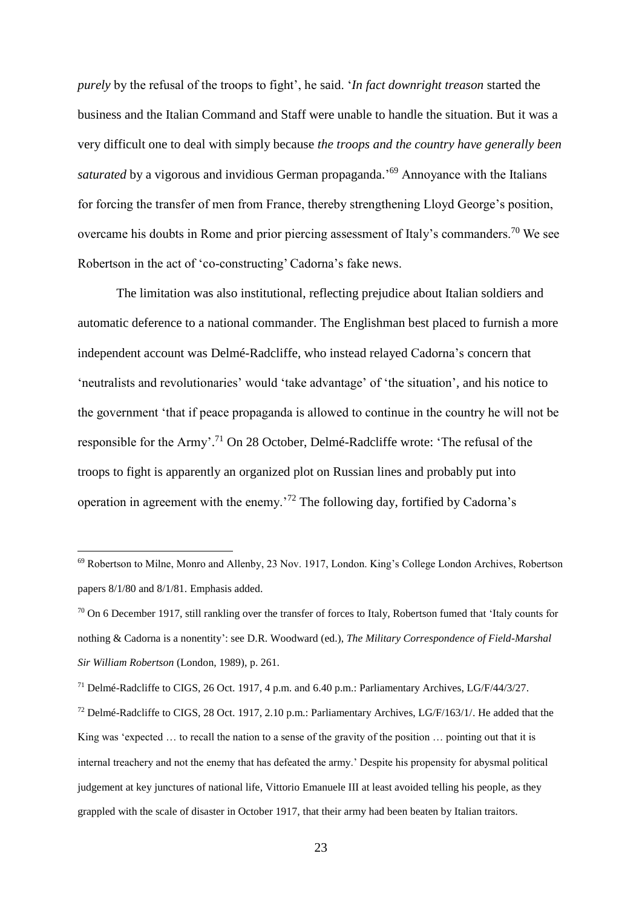*purely* by the refusal of the troops to fight', he said. '*In fact downright treason* started the business and the Italian Command and Staff were unable to handle the situation. But it was a very difficult one to deal with simply because *the troops and the country have generally been*  saturated by a vigorous and invidious German propaganda.<sup>'69</sup> Annoyance with the Italians for forcing the transfer of men from France, thereby strengthening Lloyd George's position, overcame his doubts in Rome and prior piercing assessment of Italy's commanders.<sup>70</sup> We see Robertson in the act of 'co-constructing' Cadorna's fake news.

The limitation was also institutional, reflecting prejudice about Italian soldiers and automatic deference to a national commander. The Englishman best placed to furnish a more independent account was Delmé-Radcliffe, who instead relayed Cadorna's concern that 'neutralists and revolutionaries' would 'take advantage' of 'the situation', and his notice to the government 'that if peace propaganda is allowed to continue in the country he will not be responsible for the Army'.<sup>71</sup> On 28 October, Delmé-Radcliffe wrote: 'The refusal of the troops to fight is apparently an organized plot on Russian lines and probably put into operation in agreement with the enemy.'<sup>72</sup> The following day, fortified by Cadorna's

<sup>69</sup> Robertson to Milne, Monro and Allenby, 23 Nov. 1917, London. King's College London Archives, Robertson papers 8/1/80 and 8/1/81. Emphasis added.

<sup>70</sup> On 6 December 1917, still rankling over the transfer of forces to Italy, Robertson fumed that 'Italy counts for nothing & Cadorna is a nonentity': see D.R. Woodward (ed.), *The Military Correspondence of Field-Marshal Sir William Robertson* (London, 1989), p. 261.

<sup>71</sup> Delmé-Radcliffe to CIGS, 26 Oct. 1917, 4 p.m. and 6.40 p.m.: Parliamentary Archives, LG/F/44/3/27.

 $^{72}$  Delmé-Radcliffe to CIGS, 28 Oct. 1917, 2.10 p.m.: Parliamentary Archives, LG/F/163/1/. He added that the King was 'expected … to recall the nation to a sense of the gravity of the position … pointing out that it is internal treachery and not the enemy that has defeated the army.' Despite his propensity for abysmal political judgement at key junctures of national life, Vittorio Emanuele III at least avoided telling his people, as they grappled with the scale of disaster in October 1917, that their army had been beaten by Italian traitors.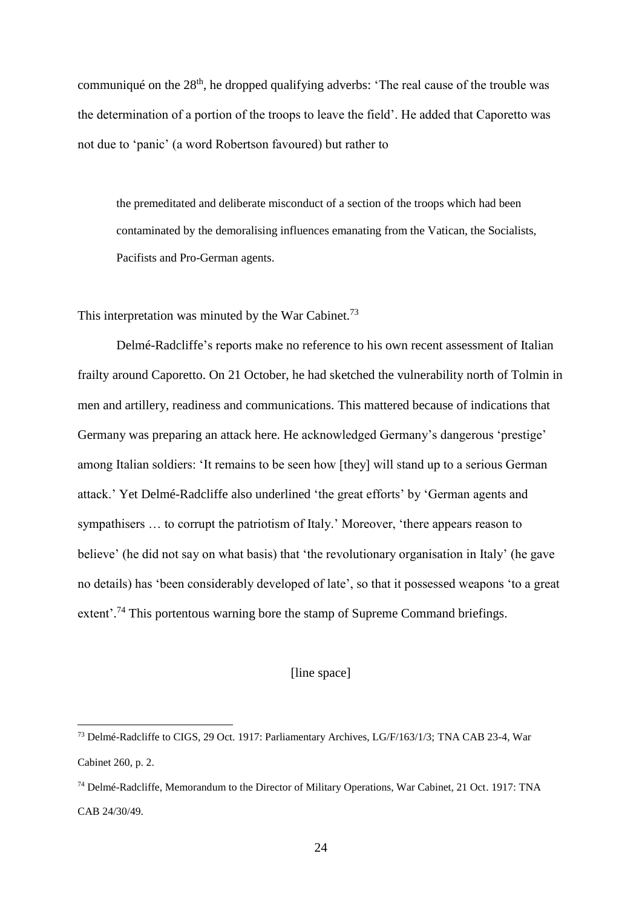communiqué on the 28<sup>th</sup>, he dropped qualifying adverbs: 'The real cause of the trouble was the determination of a portion of the troops to leave the field'. He added that Caporetto was not due to 'panic' (a word Robertson favoured) but rather to

the premeditated and deliberate misconduct of a section of the troops which had been contaminated by the demoralising influences emanating from the Vatican, the Socialists, Pacifists and Pro-German agents.

This interpretation was minuted by the War Cabinet.<sup>73</sup>

1

Delmé-Radcliffe's reports make no reference to his own recent assessment of Italian frailty around Caporetto. On 21 October, he had sketched the vulnerability north of Tolmin in men and artillery, readiness and communications. This mattered because of indications that Germany was preparing an attack here. He acknowledged Germany's dangerous 'prestige' among Italian soldiers: 'It remains to be seen how [they] will stand up to a serious German attack.' Yet Delmé-Radcliffe also underlined 'the great efforts' by 'German agents and sympathisers … to corrupt the patriotism of Italy.' Moreover, 'there appears reason to believe' (he did not say on what basis) that 'the revolutionary organisation in Italy' (he gave no details) has 'been considerably developed of late', so that it possessed weapons 'to a great extent'.<sup>74</sup> This portentous warning bore the stamp of Supreme Command briefings.

## [line space]

<sup>73</sup> Delmé-Radcliffe to CIGS, 29 Oct. 1917: Parliamentary Archives, LG/F/163/1/3; TNA CAB 23-4, War Cabinet 260, p. 2.

<sup>74</sup> Delmé-Radcliffe, Memorandum to the Director of Military Operations, War Cabinet, 21 Oct. 1917: TNA CAB 24/30/49.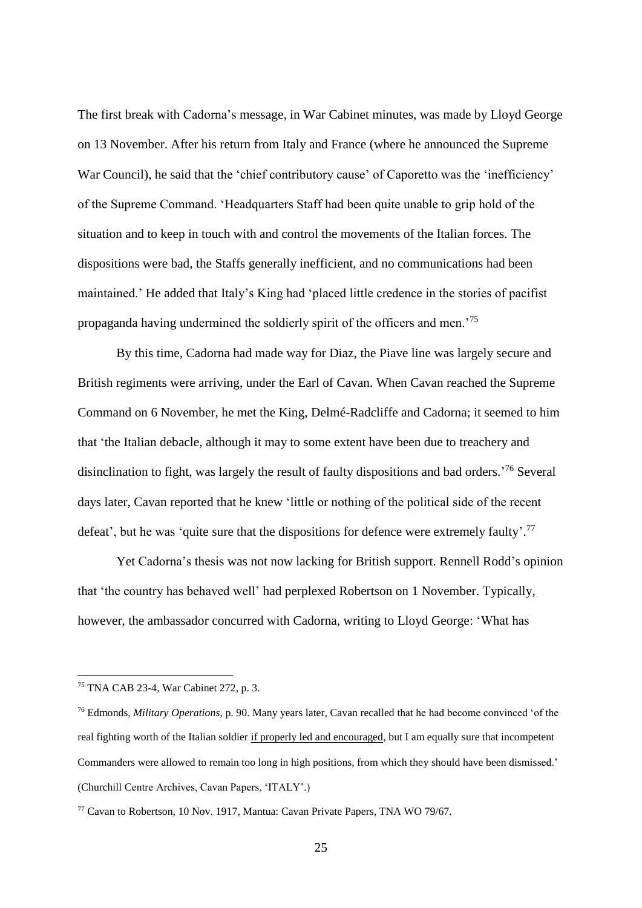The first break with Cadorna's message, in War Cabinet minutes, was made by Lloyd George on 13 November. After his return from Italy and France (where he announced the Supreme War Council), he said that the 'chief contributory cause' of Caporetto was the 'inefficiency' of the Supreme Command. 'Headquarters Staff had been quite unable to grip hold of the situation and to keep in touch with and control the movements of the Italian forces. The dispositions were bad, the Staffs generally inefficient, and no communications had been maintained.' He added that Italy's King had 'placed little credence in the stories of pacifist propaganda having undermined the soldierly spirit of the officers and men.'<sup>75</sup>

By this time, Cadorna had made way for Diaz, the Piave line was largely secure and British regiments were arriving, under the Earl of Cavan. When Cavan reached the Supreme Command on 6 November, he met the King, Delmé-Radcliffe and Cadorna; it seemed to him that 'the Italian debacle, although it may to some extent have been due to treachery and disinclination to fight, was largely the result of faulty dispositions and bad orders.<sup>76</sup> Several days later, Cavan reported that he knew 'little or nothing of the political side of the recent defeat', but he was 'quite sure that the dispositions for defence were extremely faulty'.<sup>77</sup>

Yet Cadorna's thesis was not now lacking for British support. Rennell Rodd's opinion that 'the country has behaved well' had perplexed Robertson on 1 November. Typically, however, the ambassador concurred with Cadorna, writing to Lloyd George: 'What has

<sup>75</sup> TNA CAB 23-4, War Cabinet 272, p. 3.

<sup>76</sup> Edmonds, *Military Operations*, p. 90. Many years later, Cavan recalled that he had become convinced 'of the real fighting worth of the Italian soldier if properly led and encouraged, but I am equally sure that incompetent Commanders were allowed to remain too long in high positions, from which they should have been dismissed.' (Churchill Centre Archives, Cavan Papers, 'ITALY'.)

 $77$  Cavan to Robertson, 10 Nov. 1917, Mantua: Cavan Private Papers, TNA WO 79/67.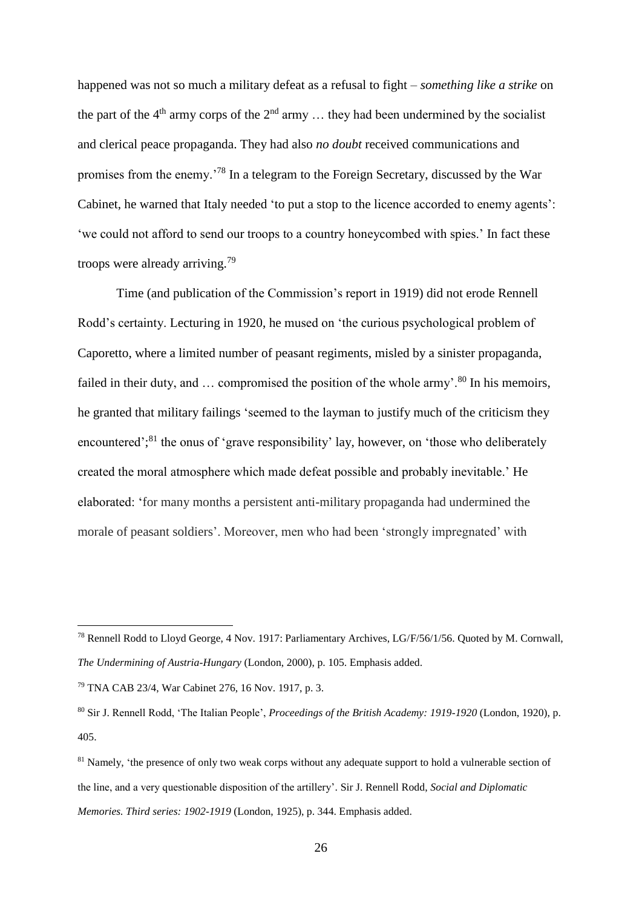happened was not so much a military defeat as a refusal to fight – *something like a strike* on the part of the 4<sup>th</sup> army corps of the  $2<sup>nd</sup>$  army ... they had been undermined by the socialist and clerical peace propaganda. They had also *no doubt* received communications and promises from the enemy.'<sup>78</sup> In a telegram to the Foreign Secretary, discussed by the War Cabinet, he warned that Italy needed 'to put a stop to the licence accorded to enemy agents': 'we could not afford to send our troops to a country honeycombed with spies.' In fact these troops were already arriving.<sup>79</sup>

Time (and publication of the Commission's report in 1919) did not erode Rennell Rodd's certainty. Lecturing in 1920, he mused on 'the curious psychological problem of Caporetto, where a limited number of peasant regiments, misled by a sinister propaganda, failed in their duty, and  $\ldots$  compromised the position of the whole army'.<sup>80</sup> In his memoirs, he granted that military failings 'seemed to the layman to justify much of the criticism they encountered';<sup>81</sup> the onus of 'grave responsibility' lay, however, on 'those who deliberately created the moral atmosphere which made defeat possible and probably inevitable.' He elaborated: 'for many months a persistent anti-military propaganda had undermined the morale of peasant soldiers'. Moreover, men who had been 'strongly impregnated' with

<sup>78</sup> Rennell Rodd to Lloyd George, 4 Nov. 1917: Parliamentary Archives, LG/F/56/1/56. Quoted by M. Cornwall, *The Undermining of Austria-Hungary* (London, 2000), p. 105. Emphasis added.

<sup>79</sup> TNA CAB 23/4, War Cabinet 276, 16 Nov. 1917, p. 3.

<sup>80</sup> Sir J. Rennell Rodd, 'The Italian People', *Proceedings of the British Academy: 1919-1920* (London, 1920), p. 405.

<sup>&</sup>lt;sup>81</sup> Namely, 'the presence of only two weak corps without any adequate support to hold a vulnerable section of the line, and a very questionable disposition of the artillery'. Sir J. Rennell Rodd, *Social and Diplomatic Memories. Third series: 1902-1919* (London, 1925), p. 344. Emphasis added.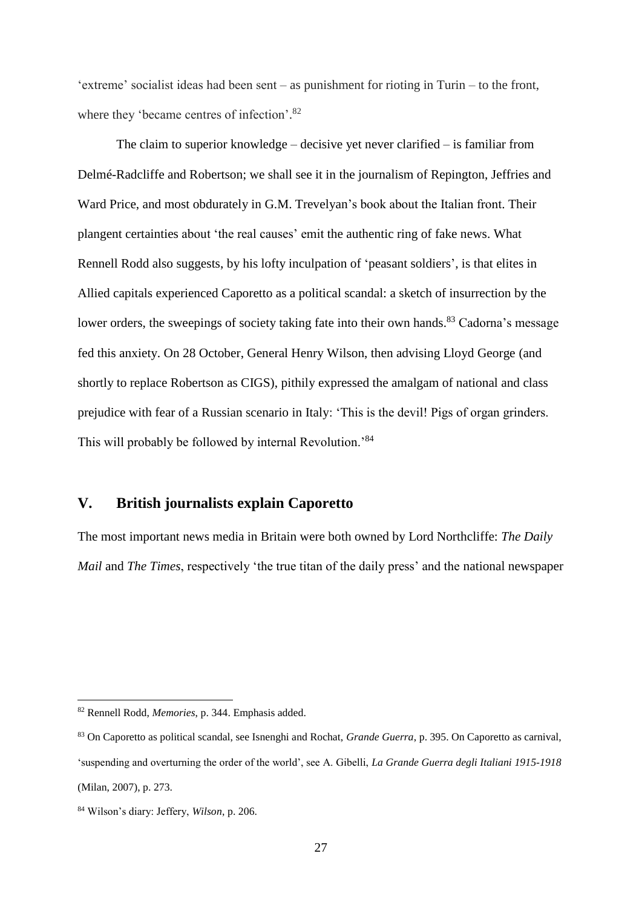'extreme' socialist ideas had been sent – as punishment for rioting in Turin – to the front, where they 'became centres of infection'.<sup>82</sup>

The claim to superior knowledge – decisive yet never clarified – is familiar from Delmé-Radcliffe and Robertson; we shall see it in the journalism of Repington, Jeffries and Ward Price, and most obdurately in G.M. Trevelyan's book about the Italian front. Their plangent certainties about 'the real causes' emit the authentic ring of fake news. What Rennell Rodd also suggests, by his lofty inculpation of 'peasant soldiers', is that elites in Allied capitals experienced Caporetto as a political scandal: a sketch of insurrection by the lower orders, the sweepings of society taking fate into their own hands.<sup>83</sup> Cadorna's message fed this anxiety. On 28 October, General Henry Wilson, then advising Lloyd George (and shortly to replace Robertson as CIGS), pithily expressed the amalgam of national and class prejudice with fear of a Russian scenario in Italy: 'This is the devil! Pigs of organ grinders. This will probably be followed by internal Revolution.'<sup>84</sup>

# **V. British journalists explain Caporetto**

The most important news media in Britain were both owned by Lord Northcliffe: *The Daily Mail* and *The Times*, respectively 'the true titan of the daily press' and the national newspaper

<sup>82</sup> Rennell Rodd, *Memories*, p. 344. Emphasis added.

<sup>83</sup> On Caporetto as political scandal, see Isnenghi and Rochat, *Grande Guerra*, p. 395. On Caporetto as carnival, 'suspending and overturning the order of the world', see A. Gibelli, *La Grande Guerra degli Italiani 1915-1918* (Milan, 2007), p. 273.

<sup>84</sup> Wilson's diary: Jeffery, *Wilson*, p. 206.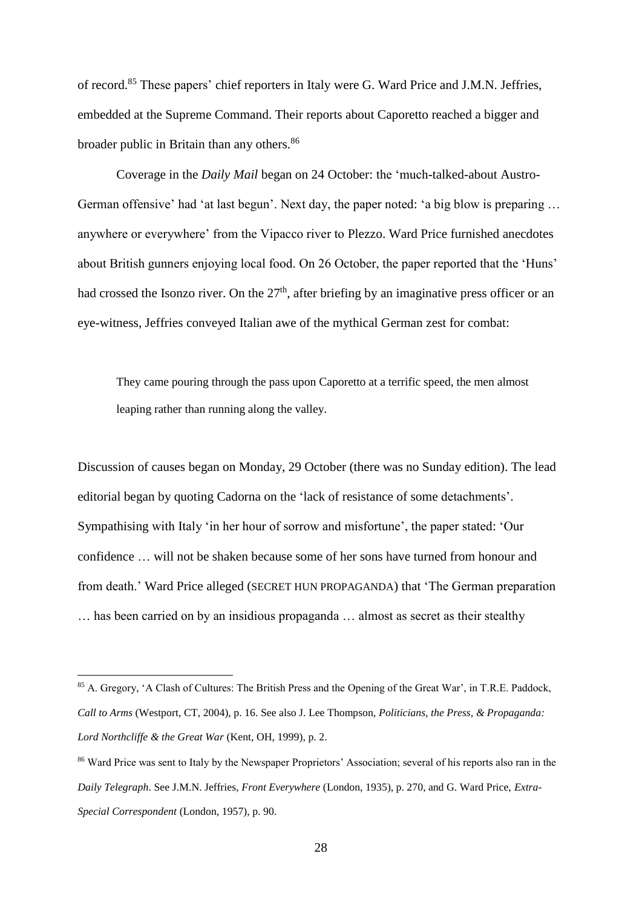of record.<sup>85</sup> These papers' chief reporters in Italy were G. Ward Price and J.M.N. Jeffries, embedded at the Supreme Command. Their reports about Caporetto reached a bigger and broader public in Britain than any others.<sup>86</sup>

Coverage in the *Daily Mail* began on 24 October: the 'much-talked-about Austro-German offensive' had 'at last begun'. Next day, the paper noted: 'a big blow is preparing … anywhere or everywhere' from the Vipacco river to Plezzo. Ward Price furnished anecdotes about British gunners enjoying local food. On 26 October, the paper reported that the 'Huns' had crossed the Isonzo river. On the  $27<sup>th</sup>$ , after briefing by an imaginative press officer or an eye-witness, Jeffries conveyed Italian awe of the mythical German zest for combat:

They came pouring through the pass upon Caporetto at a terrific speed, the men almost leaping rather than running along the valley.

Discussion of causes began on Monday, 29 October (there was no Sunday edition). The lead editorial began by quoting Cadorna on the 'lack of resistance of some detachments'. Sympathising with Italy 'in her hour of sorrow and misfortune', the paper stated: 'Our confidence … will not be shaken because some of her sons have turned from honour and from death.' Ward Price alleged (SECRET HUN PROPAGANDA) that 'The German preparation … has been carried on by an insidious propaganda … almost as secret as their stealthy

<sup>85</sup> A. Gregory, 'A Clash of Cultures: The British Press and the Opening of the Great War', in T.R.E. Paddock, *Call to Arms* (Westport, CT, 2004), p. 16. See also J. Lee Thompson, *Politicians, the Press, & Propaganda: Lord Northcliffe & the Great War* (Kent, OH, 1999), p. 2.

<sup>86</sup> Ward Price was sent to Italy by the Newspaper Proprietors' Association; several of his reports also ran in the *Daily Telegraph*. See J.M.N. Jeffries, *Front Everywhere* (London, 1935), p. 270, and G. Ward Price, *Extra-Special Correspondent* (London, 1957), p. 90.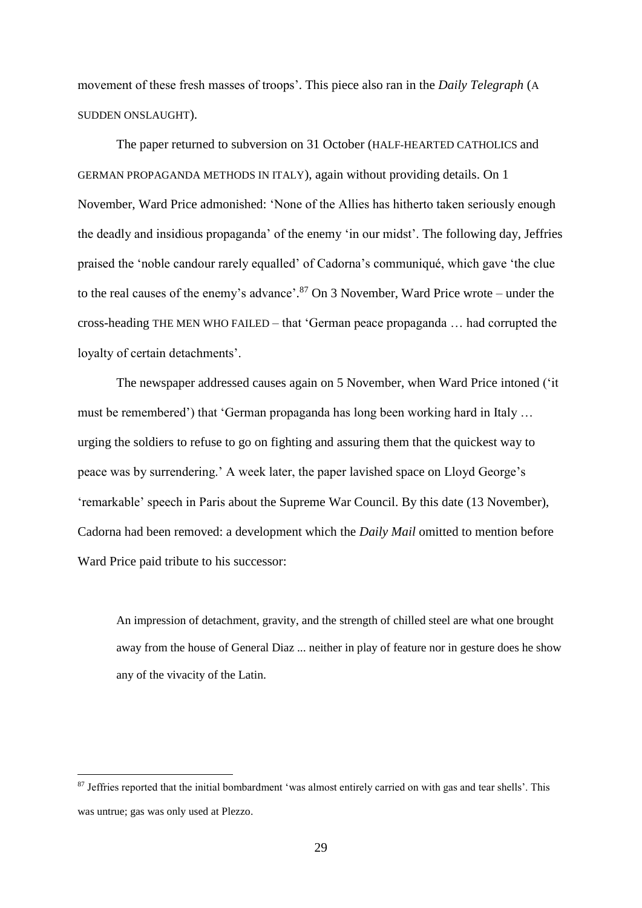movement of these fresh masses of troops'. This piece also ran in the *Daily Telegraph* (A SUDDEN ONSLAUGHT).

The paper returned to subversion on 31 October (HALF-HEARTED CATHOLICS and GERMAN PROPAGANDA METHODS IN ITALY), again without providing details. On 1 November, Ward Price admonished: 'None of the Allies has hitherto taken seriously enough the deadly and insidious propaganda' of the enemy 'in our midst'. The following day, Jeffries praised the 'noble candour rarely equalled' of Cadorna's communiqué, which gave 'the clue to the real causes of the enemy's advance'. <sup>87</sup> On 3 November, Ward Price wrote – under the cross-heading THE MEN WHO FAILED – that 'German peace propaganda … had corrupted the loyalty of certain detachments'.

The newspaper addressed causes again on 5 November, when Ward Price intoned ('it must be remembered') that 'German propaganda has long been working hard in Italy … urging the soldiers to refuse to go on fighting and assuring them that the quickest way to peace was by surrendering.' A week later, the paper lavished space on Lloyd George's 'remarkable' speech in Paris about the Supreme War Council. By this date (13 November), Cadorna had been removed: a development which the *Daily Mail* omitted to mention before Ward Price paid tribute to his successor:

An impression of detachment, gravity, and the strength of chilled steel are what one brought away from the house of General Diaz ... neither in play of feature nor in gesture does he show any of the vivacity of the Latin.

<sup>&</sup>lt;sup>87</sup> Jeffries reported that the initial bombardment 'was almost entirely carried on with gas and tear shells'. This was untrue; gas was only used at Plezzo.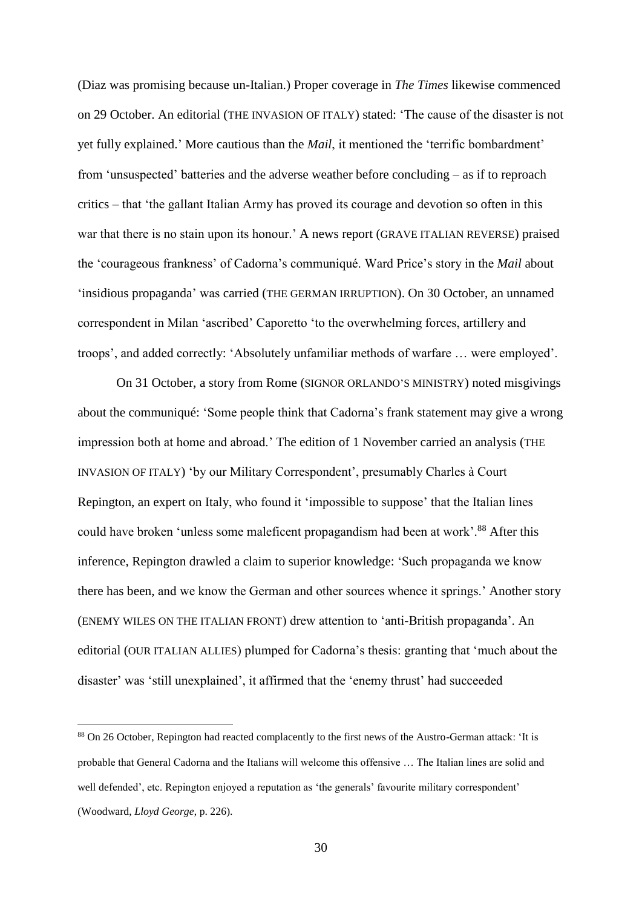(Diaz was promising because un-Italian.) Proper coverage in *The Times* likewise commenced on 29 October. An editorial (THE INVASION OF ITALY) stated: 'The cause of the disaster is not yet fully explained.' More cautious than the *Mail*, it mentioned the 'terrific bombardment' from 'unsuspected' batteries and the adverse weather before concluding – as if to reproach critics – that 'the gallant Italian Army has proved its courage and devotion so often in this war that there is no stain upon its honour.' A news report (GRAVE ITALIAN REVERSE) praised the 'courageous frankness' of Cadorna's communiqué. Ward Price's story in the *Mail* about 'insidious propaganda' was carried (THE GERMAN IRRUPTION). On 30 October, an unnamed correspondent in Milan 'ascribed' Caporetto 'to the overwhelming forces, artillery and troops', and added correctly: 'Absolutely unfamiliar methods of warfare … were employed'.

On 31 October, a story from Rome (SIGNOR ORLANDO'S MINISTRY) noted misgivings about the communiqué: 'Some people think that Cadorna's frank statement may give a wrong impression both at home and abroad.' The edition of 1 November carried an analysis (THE INVASION OF ITALY) 'by our Military Correspondent', presumably Charles à Court Repington, an expert on Italy, who found it 'impossible to suppose' that the Italian lines could have broken 'unless some maleficent propagandism had been at work'.<sup>88</sup> After this inference, Repington drawled a claim to superior knowledge: 'Such propaganda we know there has been, and we know the German and other sources whence it springs.' Another story (ENEMY WILES ON THE ITALIAN FRONT) drew attention to 'anti-British propaganda'. An editorial (OUR ITALIAN ALLIES) plumped for Cadorna's thesis: granting that 'much about the disaster' was 'still unexplained', it affirmed that the 'enemy thrust' had succeeded

<sup>88</sup> On 26 October, Repington had reacted complacently to the first news of the Austro-German attack: 'It is probable that General Cadorna and the Italians will welcome this offensive … The Italian lines are solid and well defended', etc. Repington enjoyed a reputation as 'the generals' favourite military correspondent' (Woodward, *Lloyd George*, p. 226).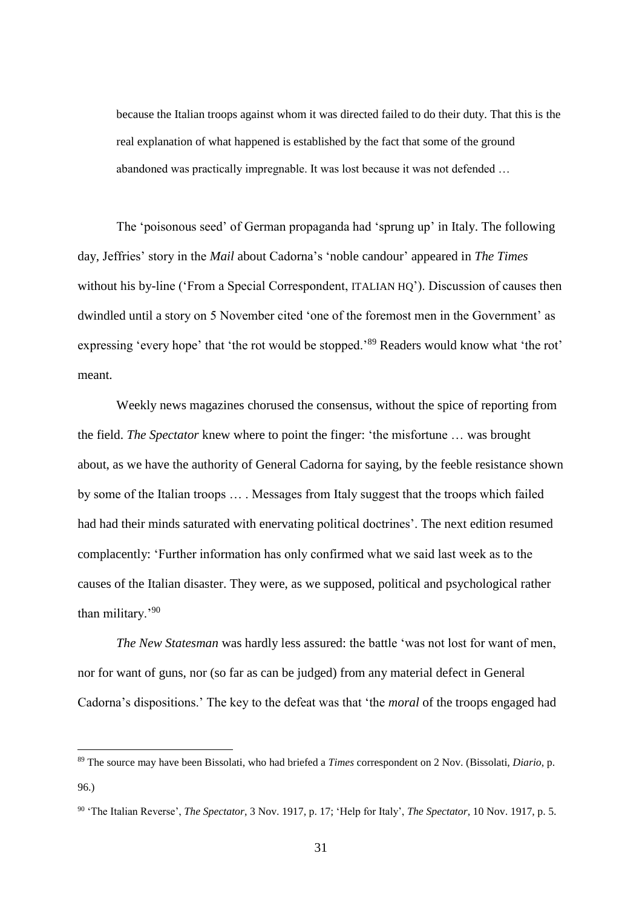because the Italian troops against whom it was directed failed to do their duty. That this is the real explanation of what happened is established by the fact that some of the ground abandoned was practically impregnable. It was lost because it was not defended …

The 'poisonous seed' of German propaganda had 'sprung up' in Italy. The following day, Jeffries' story in the *Mail* about Cadorna's 'noble candour' appeared in *The Times* without his by-line ('From a Special Correspondent, ITALIAN HQ'). Discussion of causes then dwindled until a story on 5 November cited 'one of the foremost men in the Government' as expressing 'every hope' that 'the rot would be stopped.'<sup>89</sup> Readers would know what 'the rot' meant.

Weekly news magazines chorused the consensus, without the spice of reporting from the field. *The Spectator* knew where to point the finger: 'the misfortune … was brought about, as we have the authority of General Cadorna for saying, by the feeble resistance shown by some of the Italian troops … . Messages from Italy suggest that the troops which failed had had their minds saturated with enervating political doctrines'. The next edition resumed complacently: 'Further information has only confirmed what we said last week as to the causes of the Italian disaster. They were, as we supposed, political and psychological rather than military.'<sup>90</sup>

*The New Statesman* was hardly less assured: the battle 'was not lost for want of men, nor for want of guns, nor (so far as can be judged) from any material defect in General Cadorna's dispositions.' The key to the defeat was that 'the *moral* of the troops engaged had

<sup>89</sup> The source may have been Bissolati, who had briefed a *Times* correspondent on 2 Nov. (Bissolati, *Diario*, p. 96.)

<sup>90</sup> 'The Italian Reverse', *The Spectator*, 3 Nov. 1917, p. 17; 'Help for Italy', *The Spectator*, 10 Nov. 1917, p. 5.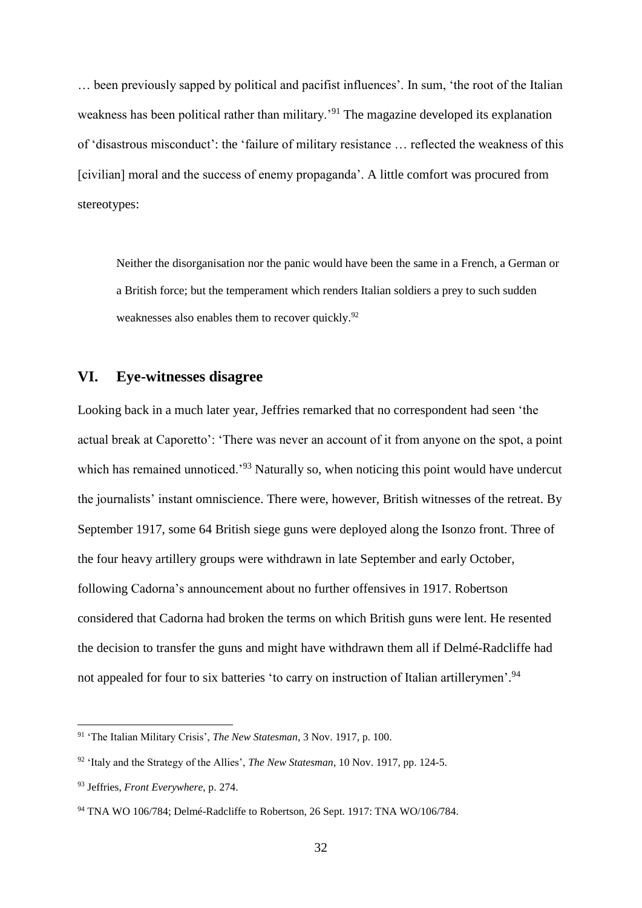… been previously sapped by political and pacifist influences'. In sum, 'the root of the Italian weakness has been political rather than military.'<sup>91</sup> The magazine developed its explanation of 'disastrous misconduct': the 'failure of military resistance … reflected the weakness of this [civilian] moral and the success of enemy propaganda'. A little comfort was procured from stereotypes:

Neither the disorganisation nor the panic would have been the same in a French, a German or a British force; but the temperament which renders Italian soldiers a prey to such sudden weaknesses also enables them to recover quickly.<sup>92</sup>

# **VI. Eye-witnesses disagree**

Looking back in a much later year, Jeffries remarked that no correspondent had seen 'the actual break at Caporetto': 'There was never an account of it from anyone on the spot, a point which has remained unnoticed.<sup>'93</sup> Naturally so, when noticing this point would have undercut the journalists' instant omniscience. There were, however, British witnesses of the retreat. By September 1917, some 64 British siege guns were deployed along the Isonzo front. Three of the four heavy artillery groups were withdrawn in late September and early October, following Cadorna's announcement about no further offensives in 1917. Robertson considered that Cadorna had broken the terms on which British guns were lent. He resented the decision to transfer the guns and might have withdrawn them all if Delmé-Radcliffe had not appealed for four to six batteries 'to carry on instruction of Italian artillerymen'.<sup>94</sup>

<sup>91</sup> 'The Italian Military Crisis', *The New Statesman*, 3 Nov. 1917, p. 100.

<sup>92</sup> 'Italy and the Strategy of the Allies', *The New Statesman*, 10 Nov. 1917, pp. 124-5.

<sup>93</sup> Jeffries, *Front Everywhere*, p. 274.

<sup>&</sup>lt;sup>94</sup> TNA WO 106/784; Delmé-Radcliffe to Robertson, 26 Sept. 1917; TNA WO/106/784.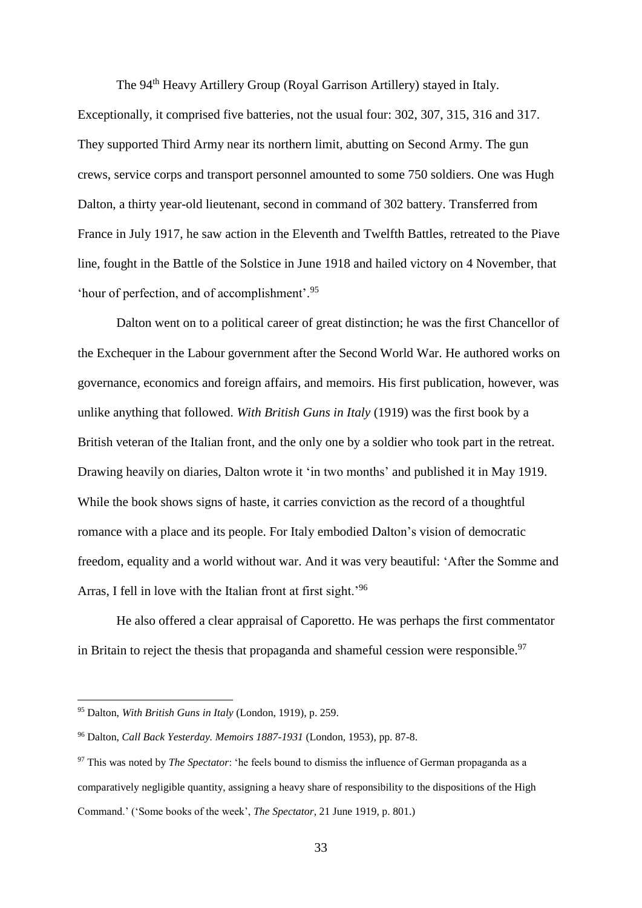The 94th Heavy Artillery Group (Royal Garrison Artillery) stayed in Italy. Exceptionally, it comprised five batteries, not the usual four: 302, 307, 315, 316 and 317. They supported Third Army near its northern limit, abutting on Second Army. The gun crews, service corps and transport personnel amounted to some 750 soldiers. One was Hugh Dalton, a thirty year-old lieutenant, second in command of 302 battery. Transferred from France in July 1917, he saw action in the Eleventh and Twelfth Battles, retreated to the Piave line, fought in the Battle of the Solstice in June 1918 and hailed victory on 4 November, that 'hour of perfection, and of accomplishment'.<sup>95</sup>

Dalton went on to a political career of great distinction; he was the first Chancellor of the Exchequer in the Labour government after the Second World War. He authored works on governance, economics and foreign affairs, and memoirs. His first publication, however, was unlike anything that followed. *With British Guns in Italy* (1919) was the first book by a British veteran of the Italian front, and the only one by a soldier who took part in the retreat. Drawing heavily on diaries, Dalton wrote it 'in two months' and published it in May 1919. While the book shows signs of haste, it carries conviction as the record of a thoughtful romance with a place and its people. For Italy embodied Dalton's vision of democratic freedom, equality and a world without war. And it was very beautiful: 'After the Somme and Arras, I fell in love with the Italian front at first sight.'<sup>96</sup>

He also offered a clear appraisal of Caporetto. He was perhaps the first commentator in Britain to reject the thesis that propaganda and shameful cession were responsible.<sup>97</sup>

<sup>95</sup> Dalton, *With British Guns in Italy* (London, 1919), p. 259.

<sup>96</sup> Dalton, *Call Back Yesterday. Memoirs 1887-1931* (London, 1953), pp. 87-8.

<sup>97</sup> This was noted by *The Spectator*: 'he feels bound to dismiss the influence of German propaganda as a comparatively negligible quantity, assigning a heavy share of responsibility to the dispositions of the High Command.' ('Some books of the week', *The Spectator*, 21 June 1919, p. 801.)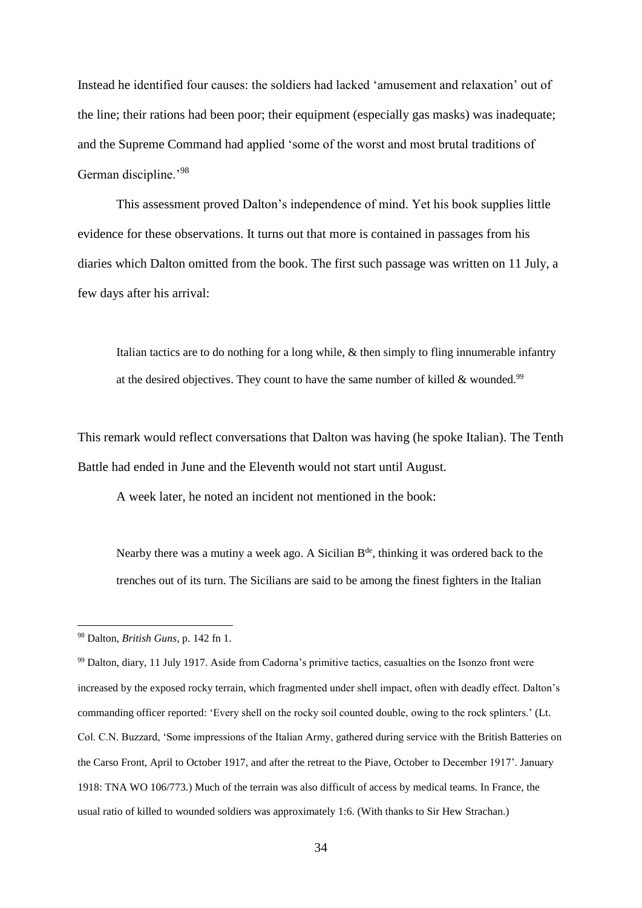Instead he identified four causes: the soldiers had lacked 'amusement and relaxation' out of the line; their rations had been poor; their equipment (especially gas masks) was inadequate; and the Supreme Command had applied 'some of the worst and most brutal traditions of German discipline.'<sup>98</sup>

This assessment proved Dalton's independence of mind. Yet his book supplies little evidence for these observations. It turns out that more is contained in passages from his diaries which Dalton omitted from the book. The first such passage was written on 11 July, a few days after his arrival:

Italian tactics are to do nothing for a long while, & then simply to fling innumerable infantry at the desired objectives. They count to have the same number of killed  $\&$  wounded.<sup>99</sup>

This remark would reflect conversations that Dalton was having (he spoke Italian). The Tenth Battle had ended in June and the Eleventh would not start until August.

A week later, he noted an incident not mentioned in the book:

Nearby there was a mutiny a week ago. A Sicilian  $B<sup>de</sup>$ , thinking it was ordered back to the trenches out of its turn. The Sicilians are said to be among the finest fighters in the Italian

<sup>98</sup> Dalton, *British Guns*, p. 142 fn 1.

<sup>99</sup> Dalton, diary, 11 July 1917. Aside from Cadorna's primitive tactics, casualties on the Isonzo front were increased by the exposed rocky terrain, which fragmented under shell impact, often with deadly effect. Dalton's commanding officer reported: 'Every shell on the rocky soil counted double, owing to the rock splinters.' (Lt. Col. C.N. Buzzard, 'Some impressions of the Italian Army, gathered during service with the British Batteries on the Carso Front, April to October 1917, and after the retreat to the Piave, October to December 1917'. January 1918: TNA WO 106/773.) Much of the terrain was also difficult of access by medical teams. In France, the usual ratio of killed to wounded soldiers was approximately 1:6. (With thanks to Sir Hew Strachan.)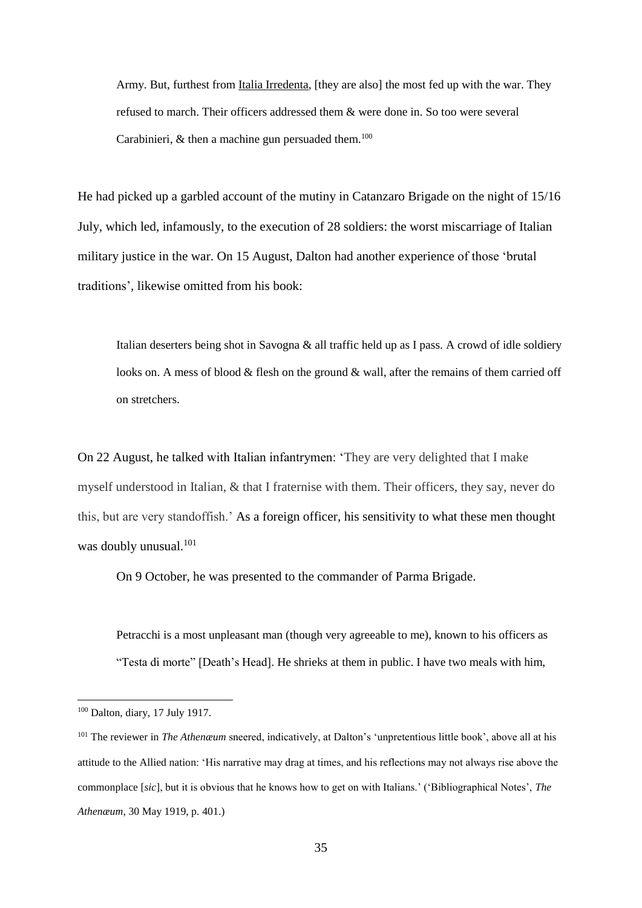Army. But, furthest from Italia Irredenta, [they are also] the most fed up with the war. They refused to march. Their officers addressed them & were done in. So too were several Carabinieri,  $\&$  then a machine gun persuaded them.<sup>100</sup>

He had picked up a garbled account of the mutiny in Catanzaro Brigade on the night of 15/16 July, which led, infamously, to the execution of 28 soldiers: the worst miscarriage of Italian military justice in the war. On 15 August, Dalton had another experience of those 'brutal traditions', likewise omitted from his book:

Italian deserters being shot in Savogna & all traffic held up as I pass. A crowd of idle soldiery looks on. A mess of blood  $&$  flesh on the ground  $&$  wall, after the remains of them carried off on stretchers.

On 22 August, he talked with Italian infantrymen: 'They are very delighted that I make myself understood in Italian, & that I fraternise with them. Their officers, they say, never do this, but are very standoffish.' As a foreign officer, his sensitivity to what these men thought was doubly unusual.<sup>101</sup>

On 9 October, he was presented to the commander of Parma Brigade.

Petracchi is a most unpleasant man (though very agreeable to me), known to his officers as "Testa di morte" [Death's Head]. He shrieks at them in public. I have two meals with him,

<sup>100</sup> Dalton, diary, 17 July 1917.

<sup>&</sup>lt;sup>101</sup> The reviewer in *The Athenæum* sneered, indicatively, at Dalton's 'unpretentious little book', above all at his attitude to the Allied nation: 'His narrative may drag at times, and his reflections may not always rise above the commonplace [*sic*], but it is obvious that he knows how to get on with Italians.' ('Bibliographical Notes', *The Athenæum*, 30 May 1919, p. 401.)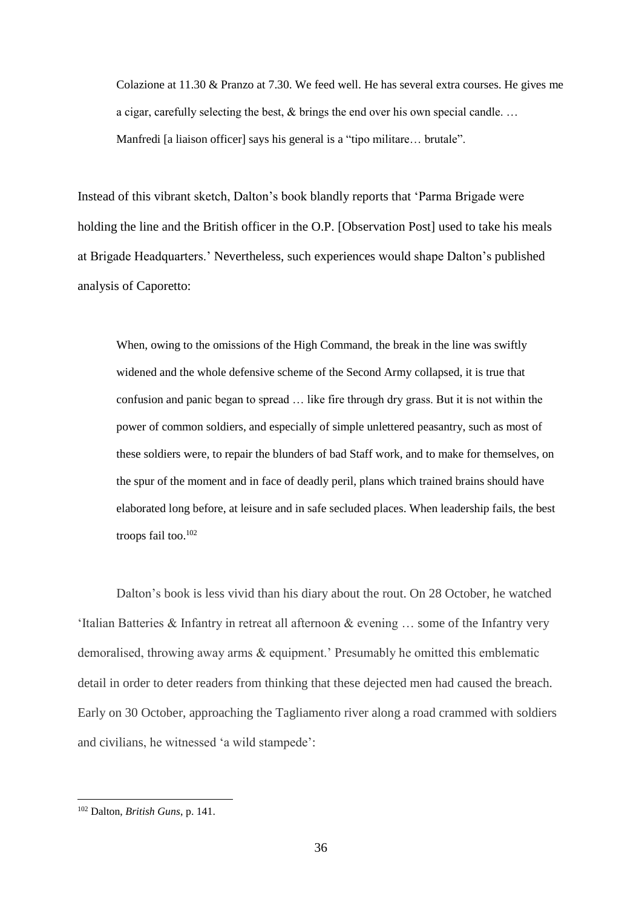Colazione at 11.30 & Pranzo at 7.30. We feed well. He has several extra courses. He gives me a cigar, carefully selecting the best, & brings the end over his own special candle. … Manfredi [a liaison officer] says his general is a "tipo militare... brutale".

Instead of this vibrant sketch, Dalton's book blandly reports that 'Parma Brigade were holding the line and the British officer in the O.P. [Observation Post] used to take his meals at Brigade Headquarters.' Nevertheless, such experiences would shape Dalton's published analysis of Caporetto:

When, owing to the omissions of the High Command, the break in the line was swiftly widened and the whole defensive scheme of the Second Army collapsed, it is true that confusion and panic began to spread … like fire through dry grass. But it is not within the power of common soldiers, and especially of simple unlettered peasantry, such as most of these soldiers were, to repair the blunders of bad Staff work, and to make for themselves, on the spur of the moment and in face of deadly peril, plans which trained brains should have elaborated long before, at leisure and in safe secluded places. When leadership fails, the best troops fail too.<sup>102</sup>

Dalton's book is less vivid than his diary about the rout. On 28 October, he watched 'Italian Batteries & Infantry in retreat all afternoon & evening … some of the Infantry very demoralised, throwing away arms & equipment.' Presumably he omitted this emblematic detail in order to deter readers from thinking that these dejected men had caused the breach. Early on 30 October, approaching the Tagliamento river along a road crammed with soldiers and civilians, he witnessed 'a wild stampede':

<sup>102</sup> Dalton, *British Guns*, p. 141.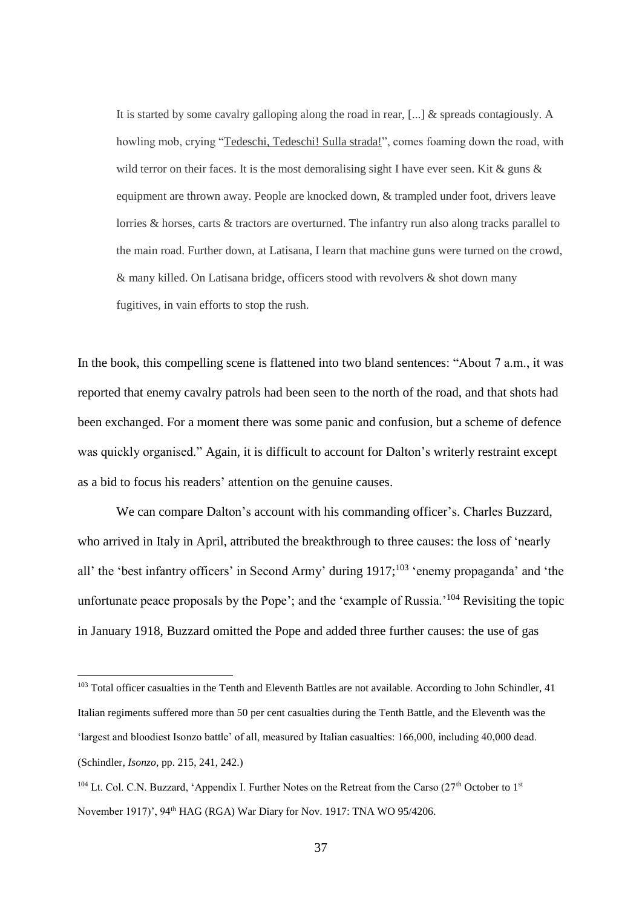It is started by some cavalry galloping along the road in rear,  $[\dots]$  & spreads contagiously. A howling mob, crying "Tedeschi, Tedeschi! Sulla strada!", comes foaming down the road, with wild terror on their faces. It is the most demoralising sight I have ever seen. Kit  $\&$  guns  $\&$ equipment are thrown away. People are knocked down, & trampled under foot, drivers leave lorries & horses, carts & tractors are overturned. The infantry run also along tracks parallel to the main road. Further down, at Latisana, I learn that machine guns were turned on the crowd, & many killed. On Latisana bridge, officers stood with revolvers & shot down many fugitives, in vain efforts to stop the rush.

In the book, this compelling scene is flattened into two bland sentences: "About 7 a.m., it was reported that enemy cavalry patrols had been seen to the north of the road, and that shots had been exchanged. For a moment there was some panic and confusion, but a scheme of defence was quickly organised." Again, it is difficult to account for Dalton's writerly restraint except as a bid to focus his readers' attention on the genuine causes.

We can compare Dalton's account with his commanding officer's. Charles Buzzard, who arrived in Italy in April, attributed the breakthrough to three causes: the loss of 'nearly all' the 'best infantry officers' in Second Army' during 1917;<sup>103</sup> 'enemy propaganda' and 'the unfortunate peace proposals by the Pope'; and the 'example of Russia.'<sup>104</sup> Revisiting the topic in January 1918, Buzzard omitted the Pope and added three further causes: the use of gas

<sup>&</sup>lt;sup>103</sup> Total officer casualties in the Tenth and Eleventh Battles are not available. According to John Schindler, 41 Italian regiments suffered more than 50 per cent casualties during the Tenth Battle, and the Eleventh was the 'largest and bloodiest Isonzo battle' of all, measured by Italian casualties: 166,000, including 40,000 dead. (Schindler, *Isonzo*, pp. 215, 241, 242.)

 $104$  Lt. Col. C.N. Buzzard, 'Appendix I. Further Notes on the Retreat from the Carso ( $27<sup>th</sup>$  October to  $1<sup>st</sup>$ November 1917)', 94th HAG (RGA) War Diary for Nov. 1917: TNA WO 95/4206.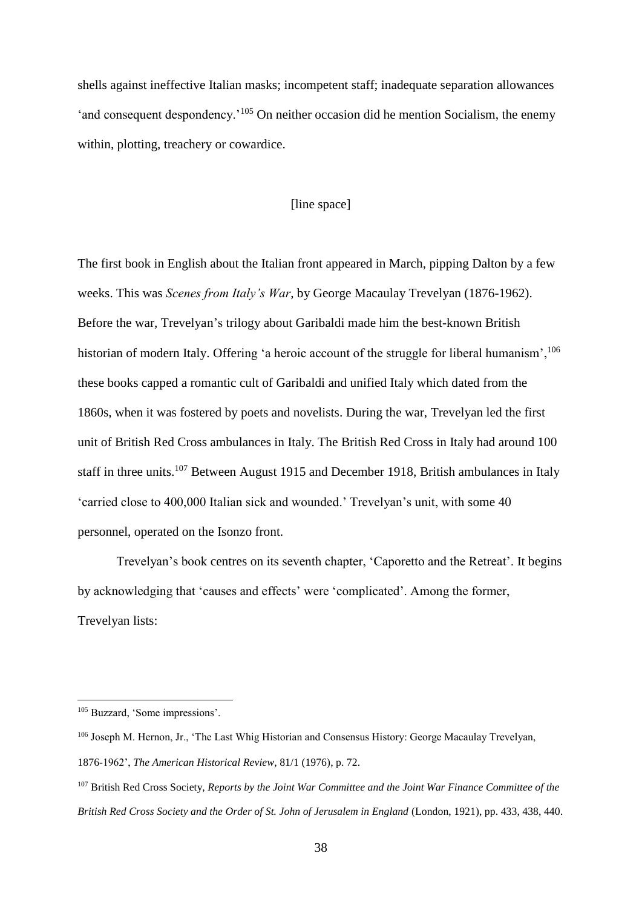shells against ineffective Italian masks; incompetent staff; inadequate separation allowances 'and consequent despondency.<sup>'105</sup> On neither occasion did he mention Socialism, the enemy within, plotting, treachery or cowardice.

#### [line space]

The first book in English about the Italian front appeared in March, pipping Dalton by a few weeks. This was *Scenes from Italy's War*, by George Macaulay Trevelyan (1876-1962). Before the war, Trevelyan's trilogy about Garibaldi made him the best-known British historian of modern Italy. Offering 'a heroic account of the struggle for liberal humanism', <sup>106</sup> these books capped a romantic cult of Garibaldi and unified Italy which dated from the 1860s, when it was fostered by poets and novelists. During the war, Trevelyan led the first unit of British Red Cross ambulances in Italy. The British Red Cross in Italy had around 100 staff in three units.<sup>107</sup> Between August 1915 and December 1918, British ambulances in Italy 'carried close to 400,000 Italian sick and wounded.' Trevelyan's unit, with some 40 personnel, operated on the Isonzo front.

Trevelyan's book centres on its seventh chapter, 'Caporetto and the Retreat'. It begins by acknowledging that 'causes and effects' were 'complicated'. Among the former, Trevelyan lists:

<sup>105</sup> Buzzard, 'Some impressions'.

<sup>106</sup> Joseph M. Hernon, Jr., 'The Last Whig Historian and Consensus History: George Macaulay Trevelyan, 1876-1962', *The American Historical Review*, 81/1 (1976), p. 72.

<sup>107</sup> British Red Cross Society, *Reports by the Joint War Committee and the Joint War Finance Committee of the British Red Cross Society and the Order of St. John of Jerusalem in England* (London, 1921), pp. 433, 438, 440.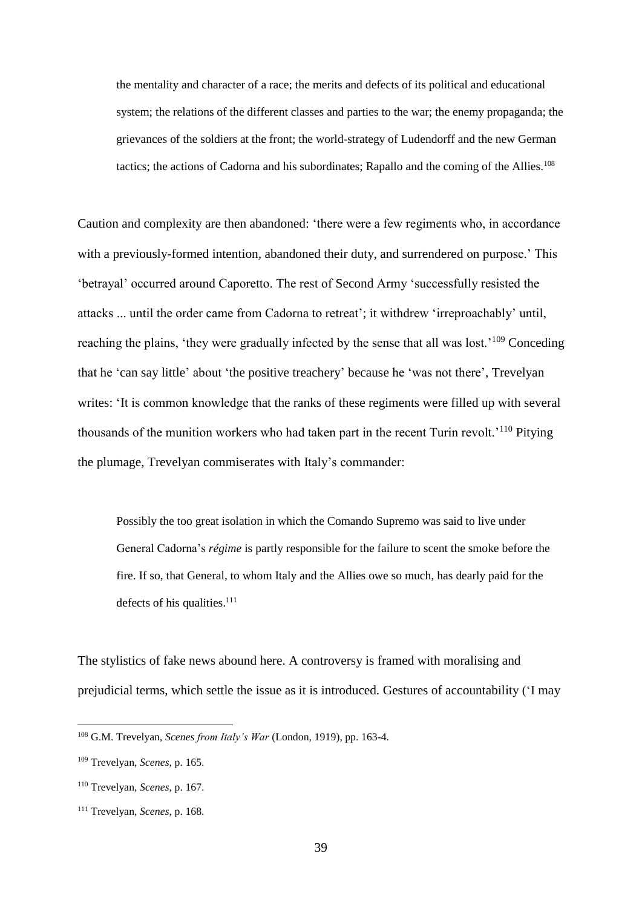the mentality and character of a race; the merits and defects of its political and educational system; the relations of the different classes and parties to the war; the enemy propaganda; the grievances of the soldiers at the front; the world-strategy of Ludendorff and the new German tactics; the actions of Cadorna and his subordinates; Rapallo and the coming of the Allies.<sup>108</sup>

Caution and complexity are then abandoned: 'there were a few regiments who, in accordance with a previously-formed intention, abandoned their duty, and surrendered on purpose.' This 'betrayal' occurred around Caporetto. The rest of Second Army 'successfully resisted the attacks ... until the order came from Cadorna to retreat'; it withdrew 'irreproachably' until, reaching the plains, 'they were gradually infected by the sense that all was lost.'<sup>109</sup> Conceding that he 'can say little' about 'the positive treachery' because he 'was not there', Trevelyan writes: 'It is common knowledge that the ranks of these regiments were filled up with several thousands of the munition workers who had taken part in the recent Turin revolt.'<sup>110</sup> Pitying the plumage, Trevelyan commiserates with Italy's commander:

Possibly the too great isolation in which the Comando Supremo was said to live under General Cadorna's *régime* is partly responsible for the failure to scent the smoke before the fire. If so, that General, to whom Italy and the Allies owe so much, has dearly paid for the defects of his qualities. $111$ 

The stylistics of fake news abound here. A controversy is framed with moralising and prejudicial terms, which settle the issue as it is introduced. Gestures of accountability ('I may

<sup>108</sup> G.M. Trevelyan, *Scenes from Italy's War* (London, 1919), pp. 163-4.

<sup>109</sup> Trevelyan, *Scenes*, p. 165.

<sup>110</sup> Trevelyan, *Scenes*, p. 167.

<sup>111</sup> Trevelyan, *Scenes*, p. 168.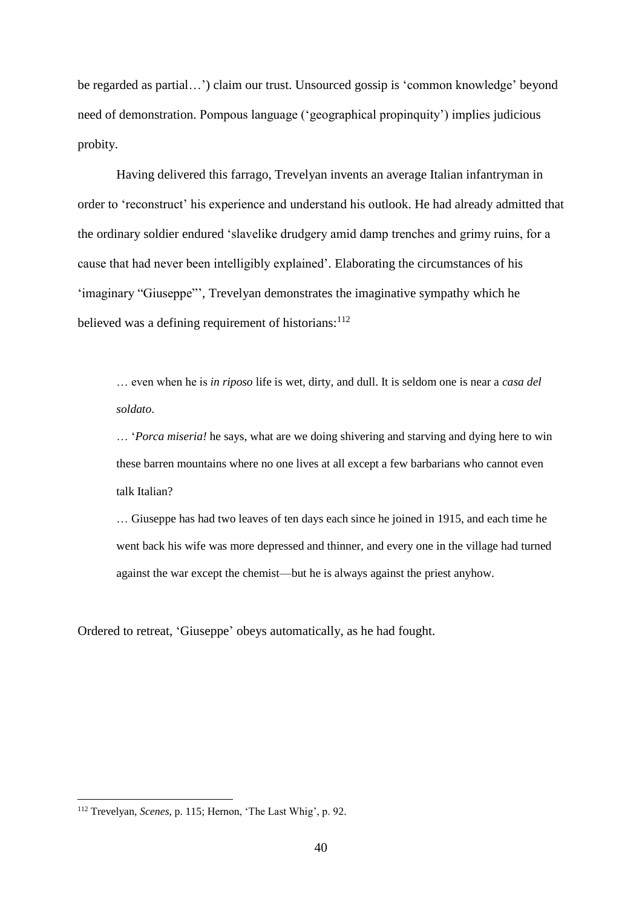be regarded as partial…') claim our trust. Unsourced gossip is 'common knowledge' beyond need of demonstration. Pompous language ('geographical propinquity') implies judicious probity.

Having delivered this farrago, Trevelyan invents an average Italian infantryman in order to 'reconstruct' his experience and understand his outlook. He had already admitted that the ordinary soldier endured 'slavelike drudgery amid damp trenches and grimy ruins, for a cause that had never been intelligibly explained'. Elaborating the circumstances of his 'imaginary "Giuseppe"', Trevelyan demonstrates the imaginative sympathy which he believed was a defining requirement of historians:  $112$ 

… even when he is *in riposo* life is wet, dirty, and dull. It is seldom one is near a *casa del soldato*.

… '*Porca miseria!* he says, what are we doing shivering and starving and dying here to win these barren mountains where no one lives at all except a few barbarians who cannot even talk Italian?

… Giuseppe has had two leaves of ten days each since he joined in 1915, and each time he went back his wife was more depressed and thinner, and every one in the village had turned against the war except the chemist—but he is always against the priest anyhow.

Ordered to retreat, 'Giuseppe' obeys automatically, as he had fought.

<sup>112</sup> Trevelyan, *Scenes*, p. 115; Hernon, 'The Last Whig', p. 92.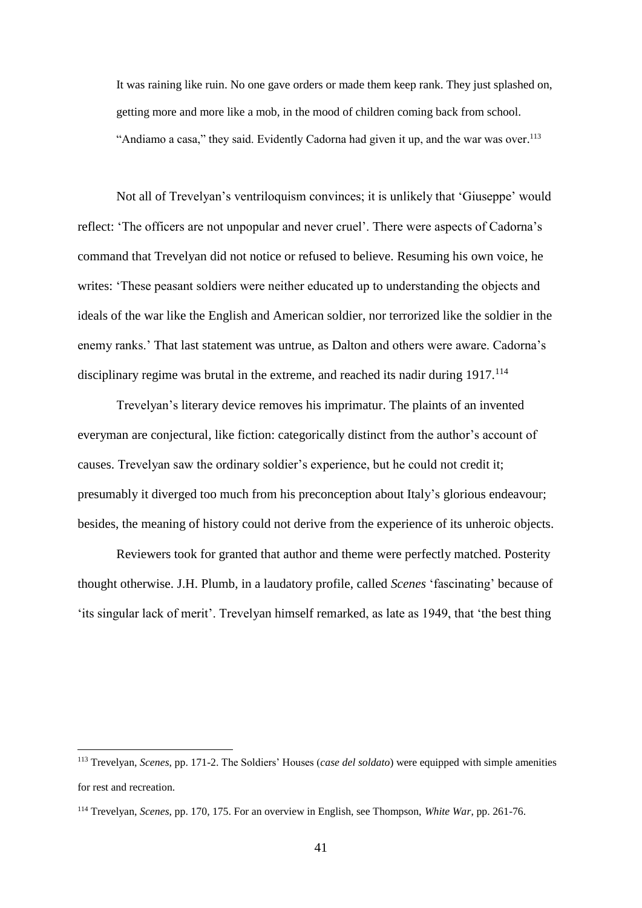It was raining like ruin. No one gave orders or made them keep rank. They just splashed on, getting more and more like a mob, in the mood of children coming back from school. "Andiamo a casa," they said. Evidently Cadorna had given it up, and the war was over.<sup>113</sup>

Not all of Trevelyan's ventriloquism convinces; it is unlikely that 'Giuseppe' would reflect: 'The officers are not unpopular and never cruel'. There were aspects of Cadorna's command that Trevelyan did not notice or refused to believe. Resuming his own voice, he writes: 'These peasant soldiers were neither educated up to understanding the objects and ideals of the war like the English and American soldier, nor terrorized like the soldier in the enemy ranks.' That last statement was untrue, as Dalton and others were aware. Cadorna's disciplinary regime was brutal in the extreme, and reached its nadir during 1917.<sup>114</sup>

Trevelyan's literary device removes his imprimatur. The plaints of an invented everyman are conjectural, like fiction: categorically distinct from the author's account of causes. Trevelyan saw the ordinary soldier's experience, but he could not credit it; presumably it diverged too much from his preconception about Italy's glorious endeavour; besides, the meaning of history could not derive from the experience of its unheroic objects.

Reviewers took for granted that author and theme were perfectly matched. Posterity thought otherwise. J.H. Plumb, in a laudatory profile, called *Scenes* 'fascinating' because of 'its singular lack of merit'. Trevelyan himself remarked, as late as 1949, that 'the best thing

<sup>113</sup> Trevelyan, *Scenes*, pp. 171-2. The Soldiers' Houses (*case del soldato*) were equipped with simple amenities for rest and recreation.

<sup>114</sup> Trevelyan, *Scenes*, pp. 170, 175. For an overview in English, see Thompson, *White War*, pp. 261-76.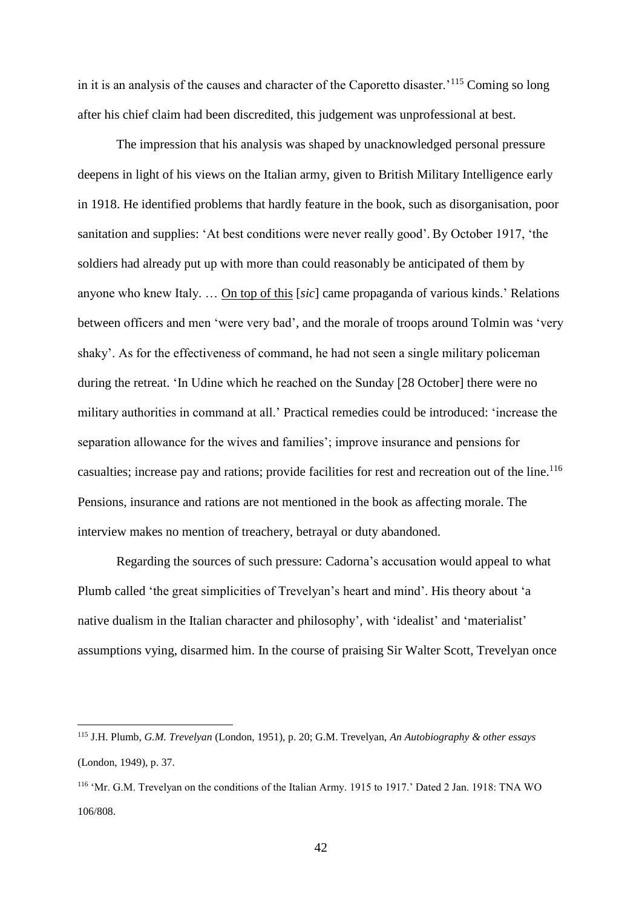in it is an analysis of the causes and character of the Caporetto disaster.'<sup>115</sup> Coming so long after his chief claim had been discredited, this judgement was unprofessional at best.

The impression that his analysis was shaped by unacknowledged personal pressure deepens in light of his views on the Italian army, given to British Military Intelligence early in 1918. He identified problems that hardly feature in the book, such as disorganisation, poor sanitation and supplies: 'At best conditions were never really good'. By October 1917, 'the soldiers had already put up with more than could reasonably be anticipated of them by anyone who knew Italy. … On top of this [*sic*] came propaganda of various kinds.' Relations between officers and men 'were very bad', and the morale of troops around Tolmin was 'very shaky'. As for the effectiveness of command, he had not seen a single military policeman during the retreat. 'In Udine which he reached on the Sunday [28 October] there were no military authorities in command at all.' Practical remedies could be introduced: 'increase the separation allowance for the wives and families'; improve insurance and pensions for casualties; increase pay and rations; provide facilities for rest and recreation out of the line.<sup>116</sup> Pensions, insurance and rations are not mentioned in the book as affecting morale. The interview makes no mention of treachery, betrayal or duty abandoned.

Regarding the sources of such pressure: Cadorna's accusation would appeal to what Plumb called 'the great simplicities of Trevelyan's heart and mind'. His theory about 'a native dualism in the Italian character and philosophy', with 'idealist' and 'materialist' assumptions vying, disarmed him. In the course of praising Sir Walter Scott, Trevelyan once

<sup>115</sup> J.H. Plumb, *G.M. Trevelyan* (London, 1951), p. 20; G.M. Trevelyan, *An Autobiography & other essays* (London, 1949), p. 37.

<sup>116</sup> 'Mr. G.M. Trevelyan on the conditions of the Italian Army. 1915 to 1917.' Dated 2 Jan. 1918: TNA WO 106/808.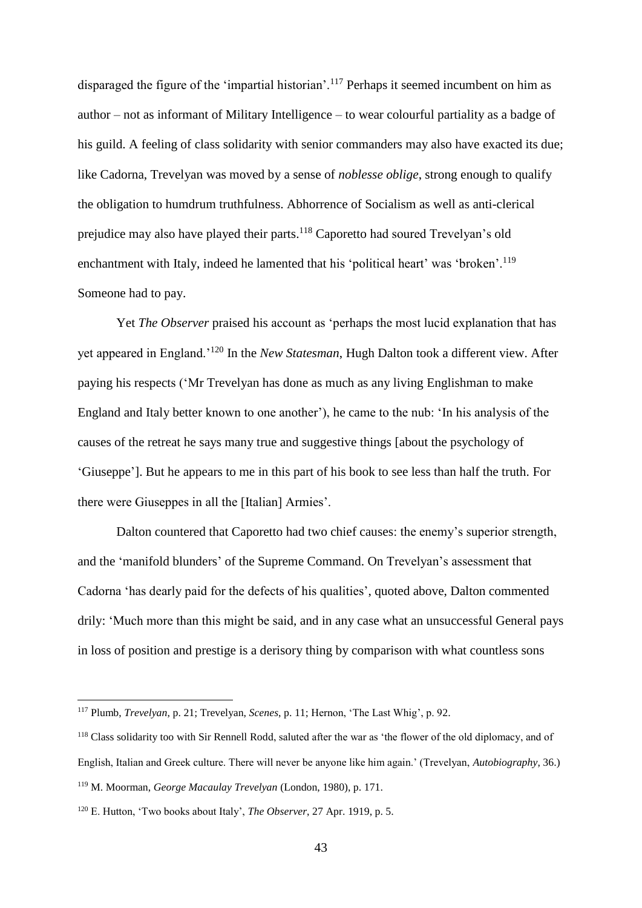disparaged the figure of the 'impartial historian'.<sup>117</sup> Perhaps it seemed incumbent on him as author – not as informant of Military Intelligence – to wear colourful partiality as a badge of his guild. A feeling of class solidarity with senior commanders may also have exacted its due; like Cadorna, Trevelyan was moved by a sense of *noblesse oblige*, strong enough to qualify the obligation to humdrum truthfulness. Abhorrence of Socialism as well as anti-clerical prejudice may also have played their parts.<sup>118</sup> Caporetto had soured Trevelyan's old enchantment with Italy, indeed he lamented that his 'political heart' was 'broken'.<sup>119</sup> Someone had to pay.

Yet *The Observer* praised his account as 'perhaps the most lucid explanation that has yet appeared in England.'<sup>120</sup> In the *New Statesman*, Hugh Dalton took a different view. After paying his respects ('Mr Trevelyan has done as much as any living Englishman to make England and Italy better known to one another'), he came to the nub: 'In his analysis of the causes of the retreat he says many true and suggestive things [about the psychology of 'Giuseppe']. But he appears to me in this part of his book to see less than half the truth. For there were Giuseppes in all the [Italian] Armies'.

Dalton countered that Caporetto had two chief causes: the enemy's superior strength, and the 'manifold blunders' of the Supreme Command. On Trevelyan's assessment that Cadorna 'has dearly paid for the defects of his qualities', quoted above, Dalton commented drily: 'Much more than this might be said, and in any case what an unsuccessful General pays in loss of position and prestige is a derisory thing by comparison with what countless sons

<sup>117</sup> Plumb, *Trevelyan*, p. 21; Trevelyan, *Scenes*, p. 11; Hernon, 'The Last Whig', p. 92.

<sup>&</sup>lt;sup>118</sup> Class solidarity too with Sir Rennell Rodd, saluted after the war as 'the flower of the old diplomacy, and of English, Italian and Greek culture. There will never be anyone like him again.' (Trevelyan, *Autobiography*, 36.) <sup>119</sup> M. Moorman, *George Macaulay Trevelyan* (London, 1980), p. 171.

<sup>120</sup> E. Hutton, 'Two books about Italy', *The Observer*, 27 Apr. 1919, p. 5.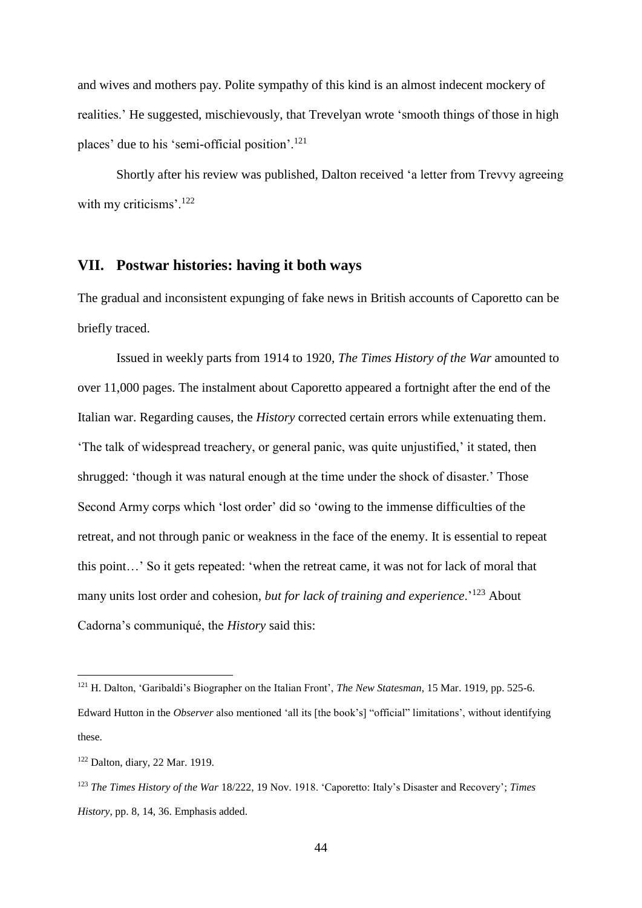and wives and mothers pay. Polite sympathy of this kind is an almost indecent mockery of realities.' He suggested, mischievously, that Trevelyan wrote 'smooth things of those in high places' due to his 'semi-official position'.<sup>121</sup>

Shortly after his review was published, Dalton received 'a letter from Trevvy agreeing with my criticisms'.<sup>122</sup>

## **VII. Postwar histories: having it both ways**

The gradual and inconsistent expunging of fake news in British accounts of Caporetto can be briefly traced.

Issued in weekly parts from 1914 to 1920, *The Times History of the War* amounted to over 11,000 pages. The instalment about Caporetto appeared a fortnight after the end of the Italian war. Regarding causes, the *History* corrected certain errors while extenuating them. 'The talk of widespread treachery, or general panic, was quite unjustified,' it stated, then shrugged: 'though it was natural enough at the time under the shock of disaster.' Those Second Army corps which 'lost order' did so 'owing to the immense difficulties of the retreat, and not through panic or weakness in the face of the enemy. It is essential to repeat this point…' So it gets repeated: 'when the retreat came, it was not for lack of moral that many units lost order and cohesion, *but for lack of training and experience*.'<sup>123</sup> About Cadorna's communiqué, the *History* said this:

<sup>121</sup> H. Dalton, 'Garibaldi's Biographer on the Italian Front', *The New Statesman*, 15 Mar. 1919, pp. 525-6. Edward Hutton in the *Observer* also mentioned 'all its [the book's] "official" limitations', without identifying these.

<sup>122</sup> Dalton, diary, 22 Mar. 1919.

<sup>123</sup> *The Times History of the War* 18/222, 19 Nov. 1918. 'Caporetto: Italy's Disaster and Recovery'; *Times History*, pp. 8, 14, 36. Emphasis added.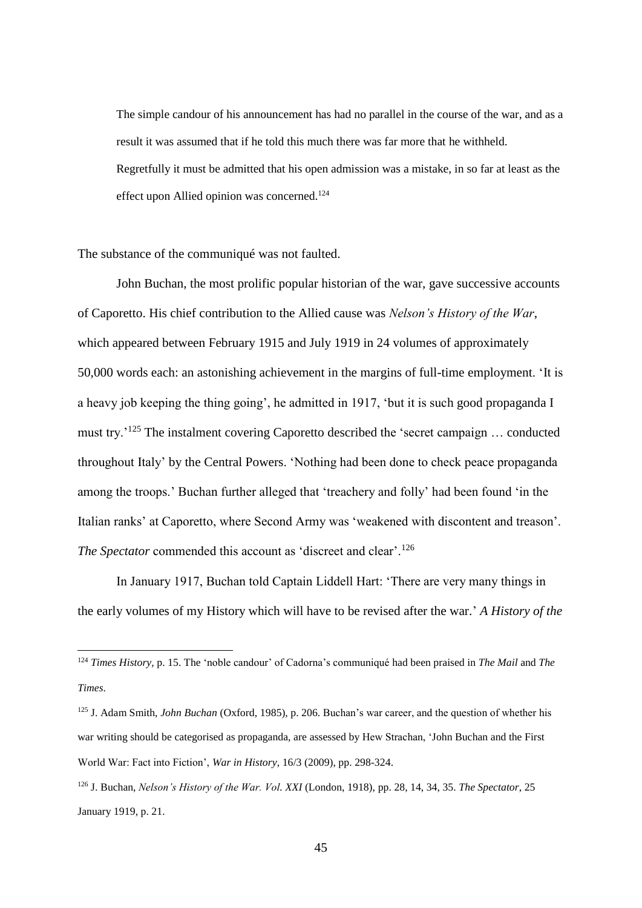The simple candour of his announcement has had no parallel in the course of the war, and as a result it was assumed that if he told this much there was far more that he withheld. Regretfully it must be admitted that his open admission was a mistake, in so far at least as the effect upon Allied opinion was concerned.<sup>124</sup>

The substance of the communiqué was not faulted.

1

John Buchan, the most prolific popular historian of the war, gave successive accounts of Caporetto. His chief contribution to the Allied cause was *Nelson's History of the War*, which appeared between February 1915 and July 1919 in 24 volumes of approximately 50,000 words each: an astonishing achievement in the margins of full-time employment. 'It is a heavy job keeping the thing going', he admitted in 1917, 'but it is such good propaganda I must try.'<sup>125</sup> The instalment covering Caporetto described the 'secret campaign … conducted throughout Italy' by the Central Powers. 'Nothing had been done to check peace propaganda among the troops.' Buchan further alleged that 'treachery and folly' had been found 'in the Italian ranks' at Caporetto, where Second Army was 'weakened with discontent and treason'. *The Spectator* commended this account as 'discreet and clear'.<sup>126</sup>

In January 1917, Buchan told Captain Liddell Hart: 'There are very many things in the early volumes of my History which will have to be revised after the war.' *A History of the* 

<sup>124</sup> *Times History*, p. 15. The 'noble candour' of Cadorna's communiqué had been praised in *The Mail* and *The Times*.

<sup>125</sup> J. Adam Smith, *John Buchan* (Oxford, 1985), p. 206. Buchan's war career, and the question of whether his war writing should be categorised as propaganda, are assessed by Hew Strachan, 'John Buchan and the First World War: Fact into Fiction', *War in History*, 16/3 (2009), pp. 298-324.

<sup>126</sup> J. Buchan, *Nelson's History of the War. Vol. XXI* (London, 1918), pp. 28, 14, 34, 35. *The Spectator*, 25 January 1919, p. 21.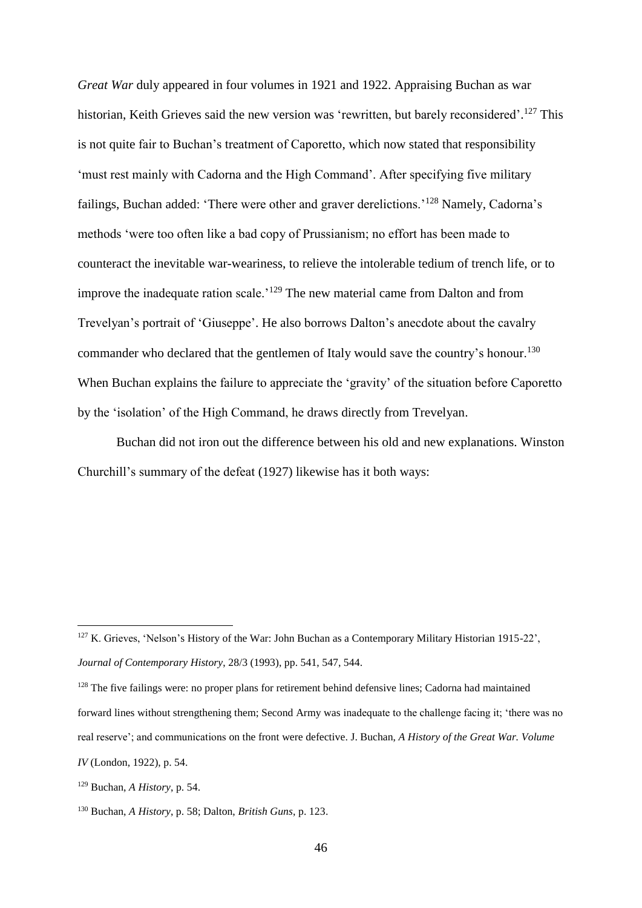*Great War* duly appeared in four volumes in 1921 and 1922. Appraising Buchan as war historian, Keith Grieves said the new version was 'rewritten, but barely reconsidered'.<sup>127</sup> This is not quite fair to Buchan's treatment of Caporetto, which now stated that responsibility 'must rest mainly with Cadorna and the High Command'. After specifying five military failings, Buchan added: 'There were other and graver derelictions.'<sup>128</sup> Namely, Cadorna's methods 'were too often like a bad copy of Prussianism; no effort has been made to counteract the inevitable war-weariness, to relieve the intolerable tedium of trench life, or to improve the inadequate ration scale.'<sup>129</sup> The new material came from Dalton and from Trevelyan's portrait of 'Giuseppe'. He also borrows Dalton's anecdote about the cavalry commander who declared that the gentlemen of Italy would save the country's honour.<sup>130</sup> When Buchan explains the failure to appreciate the 'gravity' of the situation before Caporetto by the 'isolation' of the High Command, he draws directly from Trevelyan.

Buchan did not iron out the difference between his old and new explanations. Winston Churchill's summary of the defeat (1927) likewise has it both ways:

<sup>&</sup>lt;sup>127</sup> K. Grieves, 'Nelson's History of the War: John Buchan as a Contemporary Military Historian 1915-22', *Journal of Contemporary History*, 28/3 (1993), pp. 541, 547, 544.

<sup>&</sup>lt;sup>128</sup> The five failings were: no proper plans for retirement behind defensive lines; Cadorna had maintained forward lines without strengthening them; Second Army was inadequate to the challenge facing it; 'there was no real reserve'; and communications on the front were defective. J. Buchan, *A History of the Great War. Volume IV* (London, 1922), p. 54.

<sup>129</sup> Buchan, *A History*, p. 54.

<sup>130</sup> Buchan, *A History*, p. 58; Dalton, *British Guns*, p. 123.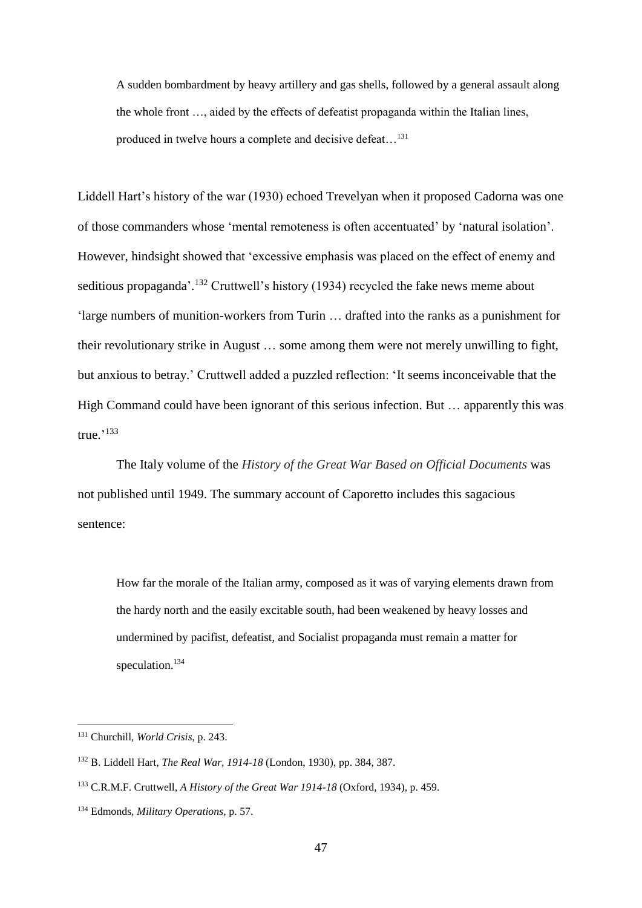A sudden bombardment by heavy artillery and gas shells, followed by a general assault along the whole front …, aided by the effects of defeatist propaganda within the Italian lines, produced in twelve hours a complete and decisive defeat…<sup>131</sup>

Liddell Hart's history of the war (1930) echoed Trevelyan when it proposed Cadorna was one of those commanders whose 'mental remoteness is often accentuated' by 'natural isolation'. However, hindsight showed that 'excessive emphasis was placed on the effect of enemy and seditious propaganda'.<sup>132</sup> Cruttwell's history (1934) recycled the fake news meme about 'large numbers of munition-workers from Turin … drafted into the ranks as a punishment for their revolutionary strike in August … some among them were not merely unwilling to fight, but anxious to betray.' Cruttwell added a puzzled reflection: 'It seems inconceivable that the High Command could have been ignorant of this serious infection. But ... apparently this was true.' 133

The Italy volume of the *History of the Great War Based on Official Documents* was not published until 1949. The summary account of Caporetto includes this sagacious sentence:

How far the morale of the Italian army, composed as it was of varying elements drawn from the hardy north and the easily excitable south, had been weakened by heavy losses and undermined by pacifist, defeatist, and Socialist propaganda must remain a matter for speculation.<sup>134</sup>

<sup>131</sup> Churchill, *World Crisis*, p. 243.

<sup>132</sup> B. Liddell Hart, *The Real War, 1914-18* (London, 1930), pp. 384, 387.

<sup>133</sup> C.R.M.F. Cruttwell, *A History of the Great War 1914-18* (Oxford, 1934), p. 459.

<sup>134</sup> Edmonds, *Military Operations*, p. 57.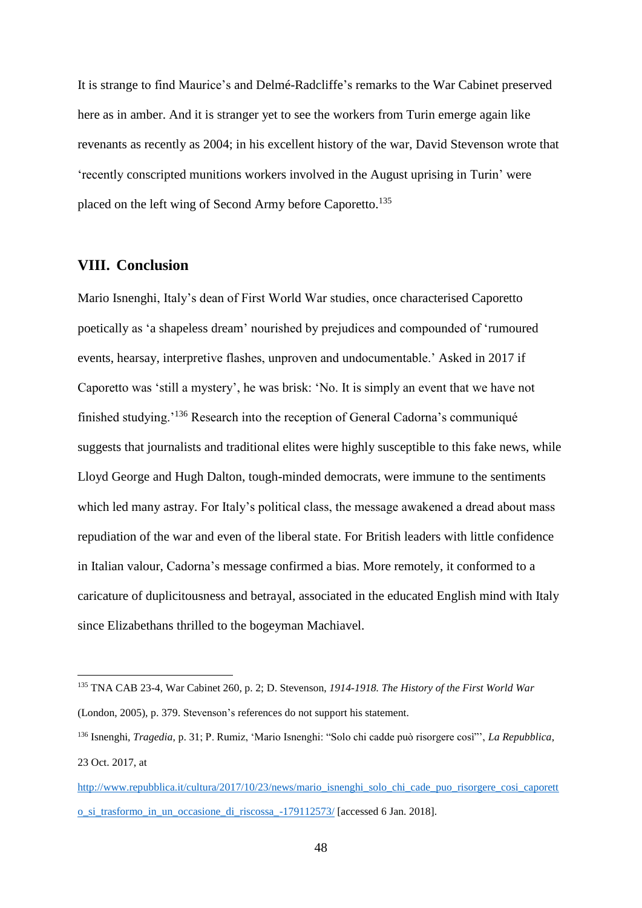It is strange to find Maurice's and Delmé-Radcliffe's remarks to the War Cabinet preserved here as in amber. And it is stranger yet to see the workers from Turin emerge again like revenants as recently as 2004; in his excellent history of the war, David Stevenson wrote that 'recently conscripted munitions workers involved in the August uprising in Turin' were placed on the left wing of Second Army before Caporetto.<sup>135</sup>

# **VIII. Conclusion**

<u>.</u>

Mario Isnenghi, Italy's dean of First World War studies, once characterised Caporetto poetically as 'a shapeless dream' nourished by prejudices and compounded of 'rumoured events, hearsay, interpretive flashes, unproven and undocumentable.' Asked in 2017 if Caporetto was 'still a mystery', he was brisk: 'No. It is simply an event that we have not finished studying.'<sup>136</sup> Research into the reception of General Cadorna's communiqué suggests that journalists and traditional elites were highly susceptible to this fake news, while Lloyd George and Hugh Dalton, tough-minded democrats, were immune to the sentiments which led many astray. For Italy's political class, the message awakened a dread about mass repudiation of the war and even of the liberal state. For British leaders with little confidence in Italian valour, Cadorna's message confirmed a bias. More remotely, it conformed to a caricature of duplicitousness and betrayal, associated in the educated English mind with Italy since Elizabethans thrilled to the bogeyman Machiavel.

<sup>135</sup> TNA CAB 23-4, War Cabinet 260, p. 2; D. Stevenson, *1914-1918. The History of the First World War* (London, 2005), p. 379. Stevenson's references do not support his statement.

<sup>136</sup> Isnenghi, *Tragedia*, p. 31; P. Rumiz, 'Mario Isnenghi: "Solo chi cadde può risorgere così"', *La Repubblica*, 23 Oct. 2017, at

[http://www.repubblica.it/cultura/2017/10/23/news/mario\\_isnenghi\\_solo\\_chi\\_cade\\_puo\\_risorgere\\_cosi\\_caporett](http://www.repubblica.it/cultura/2017/10/23/news/mario_isnenghi_solo_chi_cade_puo_risorgere_cosi_caporetto_si_trasformo_in_un_occasione_di_riscossa_-179112573/) o si trasformo in un occasione di riscossa -179112573/ [accessed 6 Jan. 2018].